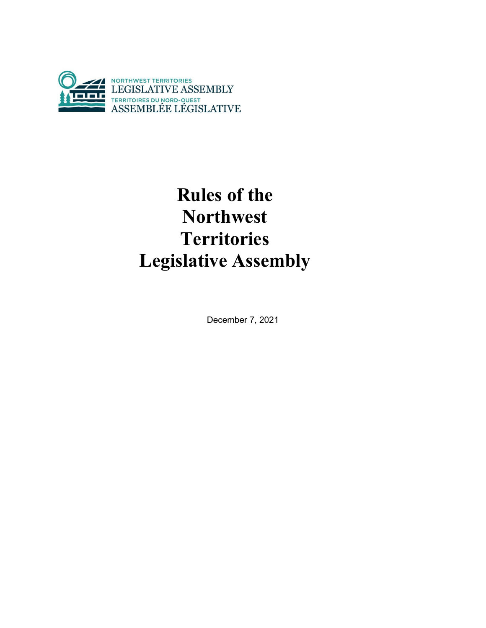

# **Rules of the Northwest Territories Legislative Assembly**

December 7, 2021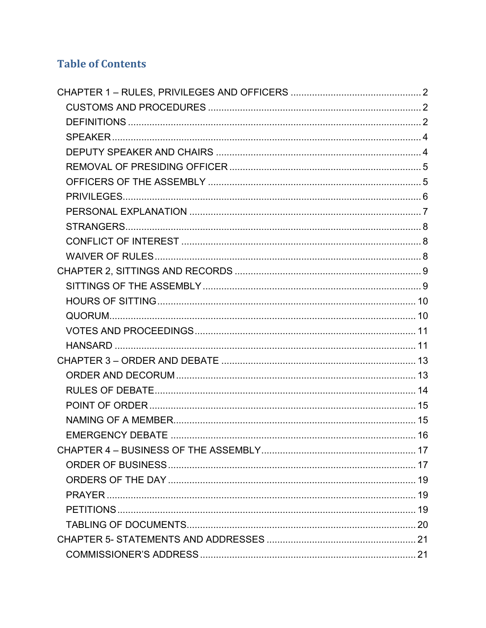## **Table of Contents**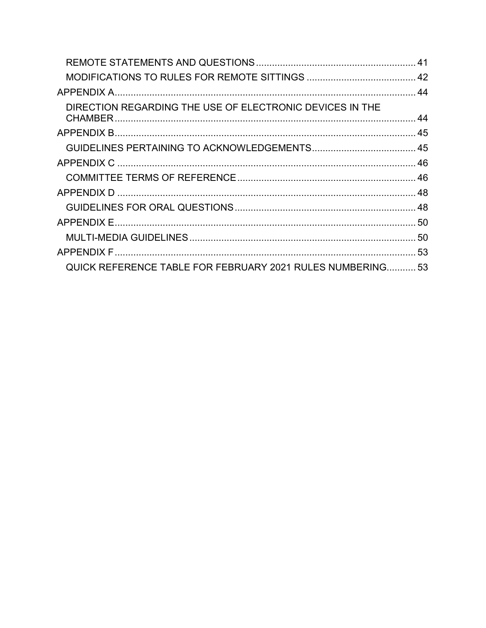| DIRECTION REGARDING THE USE OF ELECTRONIC DEVICES IN THE   |  |
|------------------------------------------------------------|--|
|                                                            |  |
|                                                            |  |
|                                                            |  |
|                                                            |  |
|                                                            |  |
|                                                            |  |
|                                                            |  |
|                                                            |  |
|                                                            |  |
| QUICK REFERENCE TABLE FOR FEBRUARY 2021 RULES NUMBERING 53 |  |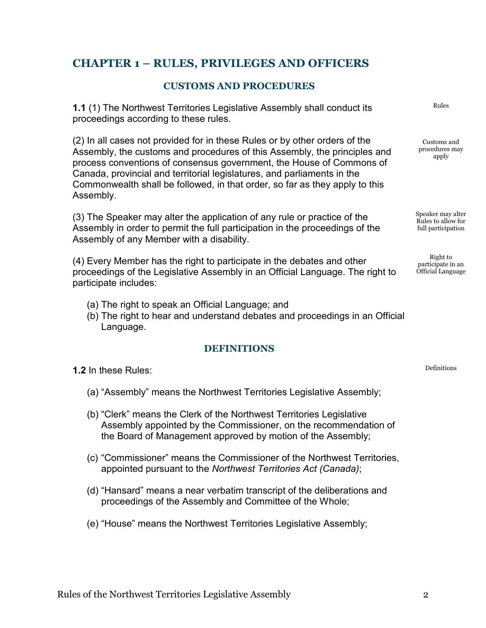## <span id="page-4-0"></span>**CHAPTER 1 – RULES, PRIVILEGES AND OFFICERS**

## **CUSTOMS AND PROCEDURES**

<span id="page-4-1"></span>**1.1** (1) The Northwest Territories Legislative Assembly shall conduct its proceedings according to these rules.

(2) In all cases not provided for in these Rules or by other orders of the Assembly, the customs and procedures of this Assembly, the principles and process conventions of consensus government, the House of Commons of Canada, provincial and territorial legislatures, and parliaments in the Commonwealth shall be followed, in that order, so far as they apply to this Assembly.

(3) The Speaker may alter the application of any rule or practice of the Assembly in order to permit the full participation in the proceedings of the Assembly of any Member with a disability.

(4) Every Member has the right to participate in the debates and other proceedings of the Legislative Assembly in an Official Language. The right to participate includes:

- (a) The right to speak an Official Language; and
- (b) The right to hear and understand debates and proceedings in an Official Language.

## **DEFINITIONS**

<span id="page-4-2"></span>**1.2** In these Rules:

- (a) "Assembly" means the Northwest Territories Legislative Assembly;
- (b) "Clerk" means the Clerk of the Northwest Territories Legislative Assembly appointed by the Commissioner, on the recommendation of the Board of Management approved by motion of the Assembly;
- (c) "Commissioner" means the Commissioner of the Northwest Territories, appointed pursuant to the *Northwest Territories Act (Canada)*;
- (d) "Hansard" means a near verbatim transcript of the deliberations and proceedings of the Assembly and Committee of the Whole;
- (e) "House" means the Northwest Territories Legislative Assembly;

Rules

Customs and procedures may apply

Speaker may alter Rules to allow for full participation

Right to participate in an Official Language

Definitions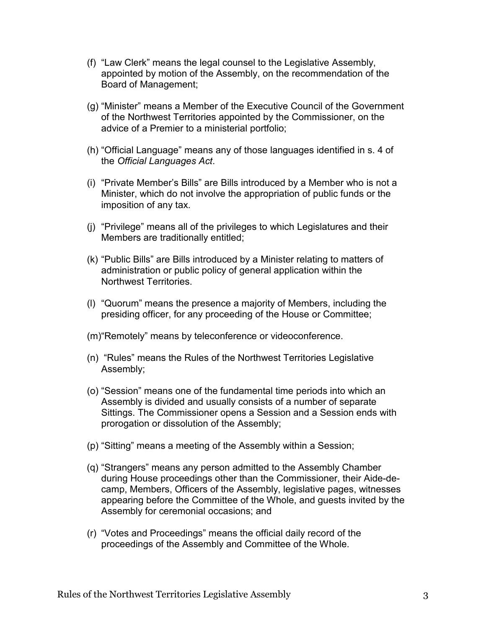- (f) "Law Clerk" means the legal counsel to the Legislative Assembly, appointed by motion of the Assembly, on the recommendation of the Board of Management;
- (g) "Minister" means a Member of the Executive Council of the Government of the Northwest Territories appointed by the Commissioner, on the advice of a Premier to a ministerial portfolio;
- (h) "Official Language" means any of those languages identified in s. 4 of the *Official Languages Act*.
- (i) "Private Member's Bills" are Bills introduced by a Member who is not a Minister, which do not involve the appropriation of public funds or the imposition of any tax.
- (j) "Privilege" means all of the privileges to which Legislatures and their Members are traditionally entitled;
- (k) "Public Bills" are Bills introduced by a Minister relating to matters of administration or public policy of general application within the Northwest Territories.
- (l) "Quorum" means the presence a majority of Members, including the presiding officer, for any proceeding of the House or Committee;
- (m)"Remotely" means by teleconference or videoconference.
- (n) "Rules" means the Rules of the Northwest Territories Legislative Assembly;
- (o) "Session" means one of the fundamental time periods into which an Assembly is divided and usually consists of a number of separate Sittings. The Commissioner opens a Session and a Session ends with prorogation or dissolution of the Assembly;
- (p) "Sitting" means a meeting of the Assembly within a Session;
- (q) "Strangers" means any person admitted to the Assembly Chamber during House proceedings other than the Commissioner, their Aide-decamp, Members, Officers of the Assembly, legislative pages, witnesses appearing before the Committee of the Whole, and guests invited by the Assembly for ceremonial occasions; and
- (r) "Votes and Proceedings" means the official daily record of the proceedings of the Assembly and Committee of the Whole.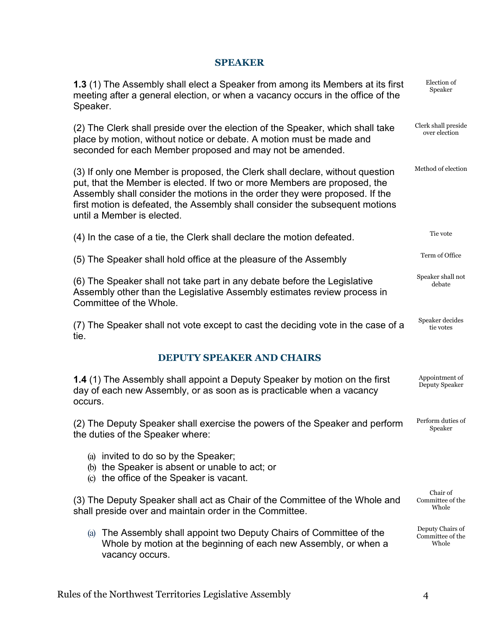## **SPEAKER**

<span id="page-6-1"></span><span id="page-6-0"></span>

| 1.3 (1) The Assembly shall elect a Speaker from among its Members at its first<br>meeting after a general election, or when a vacancy occurs in the office of the<br>Speaker.                                                                                                                                                                           | Election of<br>Speaker                        |
|---------------------------------------------------------------------------------------------------------------------------------------------------------------------------------------------------------------------------------------------------------------------------------------------------------------------------------------------------------|-----------------------------------------------|
| (2) The Clerk shall preside over the election of the Speaker, which shall take<br>place by motion, without notice or debate. A motion must be made and<br>seconded for each Member proposed and may not be amended.                                                                                                                                     | Clerk shall preside<br>over election          |
| (3) If only one Member is proposed, the Clerk shall declare, without question<br>put, that the Member is elected. If two or more Members are proposed, the<br>Assembly shall consider the motions in the order they were proposed. If the<br>first motion is defeated, the Assembly shall consider the subsequent motions<br>until a Member is elected. | Method of election                            |
| (4) In the case of a tie, the Clerk shall declare the motion defeated.                                                                                                                                                                                                                                                                                  | Tie vote                                      |
| (5) The Speaker shall hold office at the pleasure of the Assembly                                                                                                                                                                                                                                                                                       | Term of Office                                |
| (6) The Speaker shall not take part in any debate before the Legislative<br>Assembly other than the Legislative Assembly estimates review process in<br>Committee of the Whole.                                                                                                                                                                         | Speaker shall not<br>debate                   |
| (7) The Speaker shall not vote except to cast the deciding vote in the case of a<br>tie.                                                                                                                                                                                                                                                                | Speaker decides<br>tie votes                  |
| <b>DEPUTY SPEAKER AND CHAIRS</b>                                                                                                                                                                                                                                                                                                                        |                                               |
| 1.4 (1) The Assembly shall appoint a Deputy Speaker by motion on the first<br>day of each new Assembly, or as soon as is practicable when a vacancy<br>occurs.                                                                                                                                                                                          | Appointment of<br>Deputy Speaker              |
| (2) The Deputy Speaker shall exercise the powers of the Speaker and perform<br>the duties of the Speaker where:                                                                                                                                                                                                                                         | Perform duties of<br>Speaker                  |
| (a) invited to do so by the Speaker;<br>(b) the Speaker is absent or unable to act; or<br>(c) the office of the Speaker is vacant.                                                                                                                                                                                                                      |                                               |
| (3) The Deputy Speaker shall act as Chair of the Committee of the Whole and<br>shall preside over and maintain order in the Committee.                                                                                                                                                                                                                  | Chair of<br>Committee of the<br>Whole         |
| (a) The Assembly shall appoint two Deputy Chairs of Committee of the<br>Whole by motion at the beginning of each new Assembly, or when a<br>vacancy occurs.                                                                                                                                                                                             | Deputy Chairs of<br>Committee of the<br>Whole |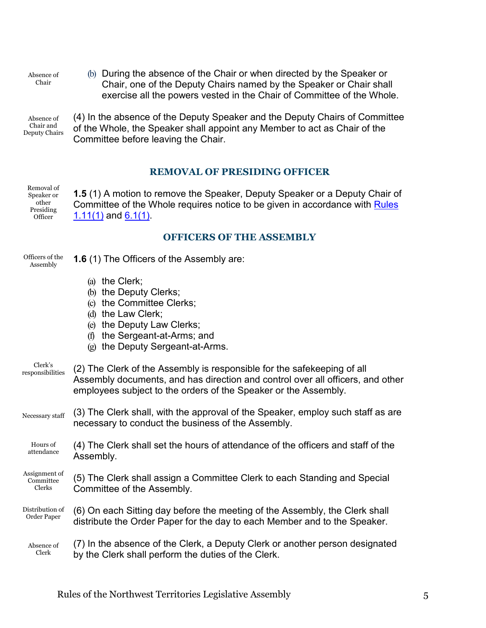Absence of Chair

(b) During the absence of the Chair or when directed by the Speaker or Chair, one of the Deputy Chairs named by the Speaker or Chair shall exercise all the powers vested in the Chair of Committee of the Whole.

Absence of Chair and Deputy Chairs (4) In the absence of the Deputy Speaker and the Deputy Chairs of Committee of the Whole, the Speaker shall appoint any Member to act as Chair of the Committee before leaving the Chair.

## **REMOVAL OF PRESIDING OFFICER**

Removal of Speaker or other Presiding Officer<sup>1</sup>

Officers of the Assembly

<span id="page-7-0"></span>**1.5** (1) A motion to remove the Speaker, Deputy Speaker or a Deputy Chair of Committee of the Whole requires notice to be given in accordance with [Rules](#page-10-3)   $1.11(1)$  and  $6.1(1)$ .

## **OFFICERS OF THE ASSEMBLY**

|                                      | (b) the Deputy Clerks;<br>(c) the Committee Clerks;<br>(d) the Law Clerk;<br>(e) the Deputy Law Clerks;<br>(f) the Sergeant-at-Arms; and<br>(g) the Deputy Sergeant-at-Arms.                                                 |
|--------------------------------------|------------------------------------------------------------------------------------------------------------------------------------------------------------------------------------------------------------------------------|
| Clerk's<br>responsibilities          | (2) The Clerk of the Assembly is responsible for the safekeeping of all<br>Assembly documents, and has direction and control over all officers, and other<br>employees subject to the orders of the Speaker or the Assembly. |
| Necessary staff                      | (3) The Clerk shall, with the approval of the Speaker, employ such staff as are<br>necessary to conduct the business of the Assembly.                                                                                        |
| Hours of<br>attendance               | (4) The Clerk shall set the hours of attendance of the officers and staff of the<br>Assembly.                                                                                                                                |
| Assignment of<br>Committee<br>Clerks | (5) The Clerk shall assign a Committee Clerk to each Standing and Special<br>Committee of the Assembly.                                                                                                                      |
| Distribution of<br>Order Paper       | (6) On each Sitting day before the meeting of the Assembly, the Clerk shall<br>distribute the Order Paper for the day to each Member and to the Speaker.                                                                     |
| Absence of<br>Clerk                  | (7) In the absence of the Clerk, a Deputy Clerk or another person designated<br>by the Clerk shall perform the duties of the Clerk.                                                                                          |

<span id="page-7-1"></span>**1.6** (1) The Officers of the Assembly are:

(a) the Clerk;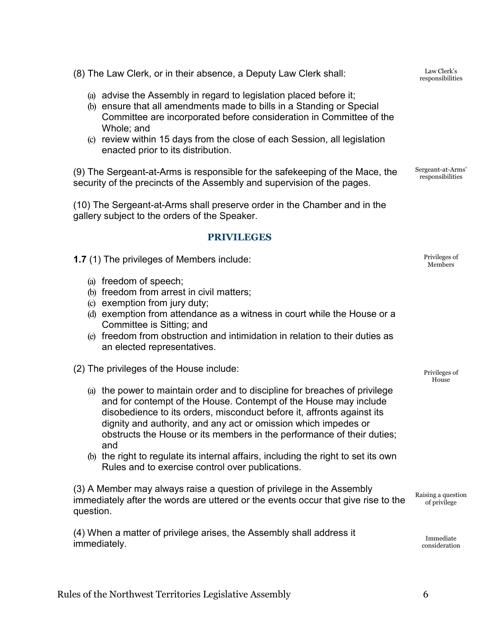(8) The Law Clerk, or in their absence, a Deputy Law Clerk shall:

- (a) advise the Assembly in regard to legislation placed before it;
- (b) ensure that all amendments made to bills in a Standing or Special Committee are incorporated before consideration in Committee of the Whole; and
- (c) review within 15 days from the close of each Session, all legislation enacted prior to its distribution.

(9) The Sergeant-at-Arms is responsible for the safekeeping of the Mace, the security of the precincts of the Assembly and supervision of the pages.

(10) The Sergeant-at-Arms shall preserve order in the Chamber and in the gallery subject to the orders of the Speaker.

## **PRIVILEGES**

<span id="page-8-0"></span>**1.7** (1) The privileges of Members include:

- (a) freedom of speech;
- (b) freedom from arrest in civil matters;
- (c) exemption from jury duty;
- (d) exemption from attendance as a witness in court while the House or a Committee is Sitting; and
- (e) freedom from obstruction and intimidation in relation to their duties as an elected representatives.

(2) The privileges of the House include:

- (a) the power to maintain order and to discipline for breaches of privilege and for contempt of the House. Contempt of the House may include disobedience to its orders, misconduct before it, affronts against its dignity and authority, and any act or omission which impedes or obstructs the House or its members in the performance of their duties; and
- (b) the right to regulate its internal affairs, including the right to set its own Rules and to exercise control over publications.

(3) A Member may always raise a question of privilege in the Assembly immediately after the words are uttered or the events occur that give rise to the question.

(4) When a matter of privilege arises, the Assembly shall address it immediately.

Sergeant-at-Arms' responsibilities

Members

Privileges of

Privileges of House

Raising a question of privilege

> Immediate consideration

Law Clerk's responsibilities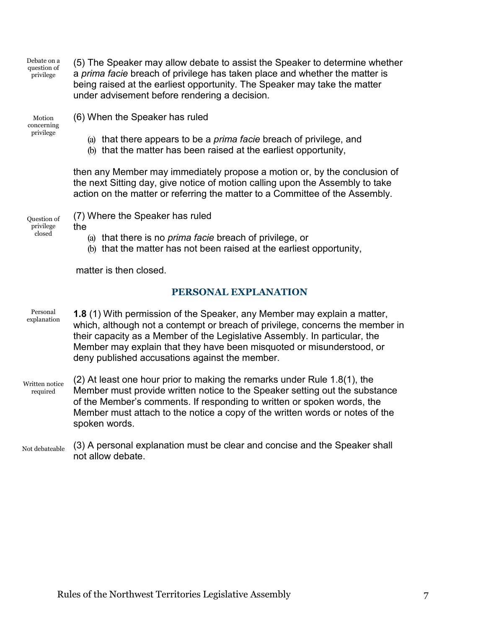Debate on a question of privilege

(5) The Speaker may allow debate to assist the Speaker to determine whether a *prima facie* breach of privilege has taken place and whether the matter is being raised at the earliest opportunity. The Speaker may take the matter under advisement before rendering a decision.

Motion concerning privilege

(6) When the Speaker has ruled

- (a) that there appears to be a *prima facie* breach of privilege, and
- (b) that the matter has been raised at the earliest opportunity,

then any Member may immediately propose a motion or, by the conclusion of the next Sitting day, give notice of motion calling upon the Assembly to take action on the matter or referring the matter to a Committee of the Assembly.

Question of privilege closed

(7) Where the Speaker has ruled

- the
	- (a) that there is no *prima facie* breach of privilege, or
	- (b) that the matter has not been raised at the earliest opportunity,

<span id="page-9-0"></span>matter is then closed.

## **PERSONAL EXPLANATION**

- Personal explanation **1.8** (1) With permission of the Speaker, any Member may explain a matter, which, although not a contempt or breach of privilege, concerns the member in their capacity as a Member of the Legislative Assembly. In particular, the Member may explain that they have been misquoted or misunderstood, or deny published accusations against the member.
- Written notice required (2) At least one hour prior to making the remarks under Rule 1.8(1), the Member must provide written notice to the Speaker setting out the substance of the Member's comments. If responding to written or spoken words, the Member must attach to the notice a copy of the written words or notes of the spoken words.
- Not debateable (3) A personal explanation must be clear and concise and the Speaker shall not allow debate.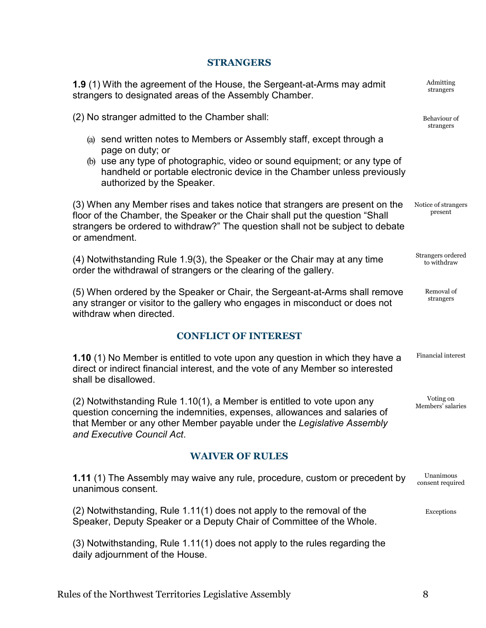#### **STRANGERS**

<span id="page-10-0"></span>**1.9** (1) With the agreement of the House, the Sergeant-at-Arms may admit strangers to designated areas of the Assembly Chamber.

(2) No stranger admitted to the Chamber shall:

- (a) send written notes to Members or Assembly staff, except through a page on duty; or
- (b) use any type of photographic, video or sound equipment; or any type of handheld or portable electronic device in the Chamber unless previously authorized by the Speaker.

(3) When any Member rises and takes notice that strangers are present on the floor of the Chamber, the Speaker or the Chair shall put the question "Shall strangers be ordered to withdraw?" The question shall not be subject to debate or amendment. Notice of strangers present

(4) Notwithstanding Rule 1.9(3), the Speaker or the Chair may at any time order the withdrawal of strangers or the clearing of the gallery.

(5) When ordered by the Speaker or Chair, the Sergeant-at-Arms shall remove any stranger or visitor to the gallery who engages in misconduct or does not withdraw when directed.

## **CONFLICT OF INTEREST**

<span id="page-10-1"></span>**1.10** (1) No Member is entitled to vote upon any question in which they have a direct or indirect financial interest, and the vote of any Member so interested shall be disallowed. Financial interest

(2) Notwithstanding Rule 1.10(1), a Member is entitled to vote upon any question concerning the indemnities, expenses, allowances and salaries of that Member or any other Member payable under the *Legislative Assembly and Executive Council Act*.

#### **WAIVER OF RULES**

<span id="page-10-3"></span><span id="page-10-2"></span>**1.11** (1) The Assembly may waive any rule, procedure, custom or precedent by unanimous consent. Unanimous consent required

(2) Notwithstanding, Rule 1.11(1) does not apply to the removal of the Speaker, Deputy Speaker or a Deputy Chair of Committee of the Whole. Exceptions

(3) Notwithstanding, Rule 1.11(1) does not apply to the rules regarding the daily adjournment of the House.

strangers

Admitting

Behaviour of strangers

Strangers ordered to withdraw

> Removal of strangers

Voting on Members' salaries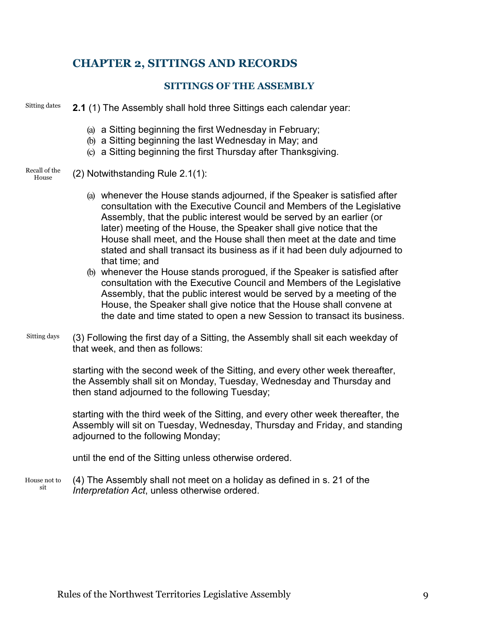## <span id="page-11-1"></span><span id="page-11-0"></span>**CHAPTER 2, SITTINGS AND RECORDS**

## **SITTINGS OF THE ASSEMBLY**

Sitting dates **2.1** (1) The Assembly shall hold three Sittings each calendar year:

- (a) a Sitting beginning the first Wednesday in February;
- (b) a Sitting beginning the last Wednesday in May; and
- (c) a Sitting beginning the first Thursday after Thanksgiving.
- Recall of the House (2) Notwithstanding Rule 2.1(1):
	- (a) whenever the House stands adjourned, if the Speaker is satisfied after consultation with the Executive Council and Members of the Legislative Assembly, that the public interest would be served by an earlier (or later) meeting of the House, the Speaker shall give notice that the House shall meet, and the House shall then meet at the date and time stated and shall transact its business as if it had been duly adjourned to that time; and
	- (b) whenever the House stands prorogued, if the Speaker is satisfied after consultation with the Executive Council and Members of the Legislative Assembly, that the public interest would be served by a meeting of the House, the Speaker shall give notice that the House shall convene at the date and time stated to open a new Session to transact its business.
- Sitting days (3) Following the first day of a Sitting, the Assembly shall sit each weekday of that week, and then as follows:

starting with the second week of the Sitting, and every other week thereafter, the Assembly shall sit on Monday, Tuesday, Wednesday and Thursday and then stand adjourned to the following Tuesday;

starting with the third week of the Sitting, and every other week thereafter, the Assembly will sit on Tuesday, Wednesday, Thursday and Friday, and standing adjourned to the following Monday;

until the end of the Sitting unless otherwise ordered.

House not to sit (4) The Assembly shall not meet on a holiday as defined in s. 21 of the *Interpretation Act*, unless otherwise ordered.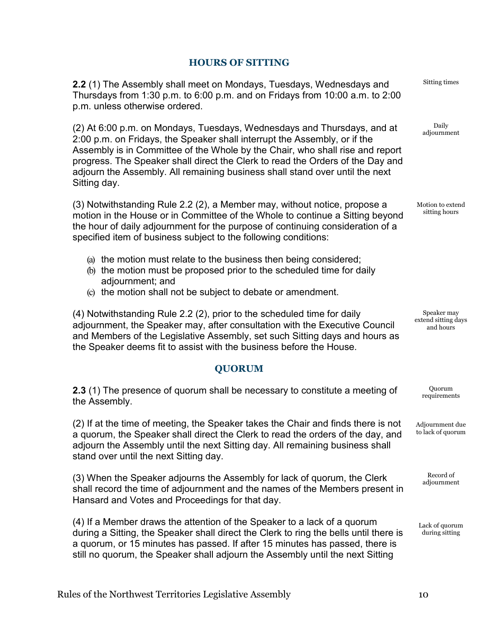## **HOURS OF SITTING**

<span id="page-12-0"></span>**2.2** (1) The Assembly shall meet on Mondays, Tuesdays, Wednesdays and Thursdays from 1:30 p.m. to 6:00 p.m. and on Fridays from 10:00 a.m. to 2:00 p.m. unless otherwise ordered.

(2) At 6:00 p.m. on Mondays, Tuesdays, Wednesdays and Thursdays, and at 2:00 p.m. on Fridays, the Speaker shall interrupt the Assembly, or if the Assembly is in Committee of the Whole by the Chair, who shall rise and report progress. The Speaker shall direct the Clerk to read the Orders of the Day and adjourn the Assembly. All remaining business shall stand over until the next Sitting day.

(3) Notwithstanding Rule 2.2 (2), a Member may, without notice, propose a motion in the House or in Committee of the Whole to continue a Sitting beyond the hour of daily adjournment for the purpose of continuing consideration of a specified item of business subject to the following conditions:

- (a) the motion must relate to the business then being considered;
- (b) the motion must be proposed prior to the scheduled time for daily adjournment; and
- (c) the motion shall not be subject to debate or amendment.

(4) Notwithstanding Rule 2.2 (2), prior to the scheduled time for daily adjournment, the Speaker may, after consultation with the Executive Council and Members of the Legislative Assembly, set such Sitting days and hours as the Speaker deems fit to assist with the business before the House.

## **QUORUM**

<span id="page-12-1"></span>**2.3** (1) The presence of quorum shall be necessary to constitute a meeting of the Assembly.

(2) If at the time of meeting, the Speaker takes the Chair and finds there is not a quorum, the Speaker shall direct the Clerk to read the orders of the day, and adjourn the Assembly until the next Sitting day. All remaining business shall stand over until the next Sitting day.

(3) When the Speaker adjourns the Assembly for lack of quorum, the Clerk shall record the time of adjournment and the names of the Members present in Hansard and Votes and Proceedings for that day.

<span id="page-12-2"></span>(4) If a Member draws the attention of the Speaker to a lack of a quorum during a Sitting, the Speaker shall direct the Clerk to ring the bells until there is a quorum, or 15 minutes has passed. If after 15 minutes has passed, there is still no quorum, the Speaker shall adjourn the Assembly until the next Sitting

Sitting times

Daily adjournment

Motion to extend sitting hours

Speaker may extend sitting days and hours

> Quorum requirements

Adjournment due to lack of quorum

> Record of adjournment

Lack of quorum during sitting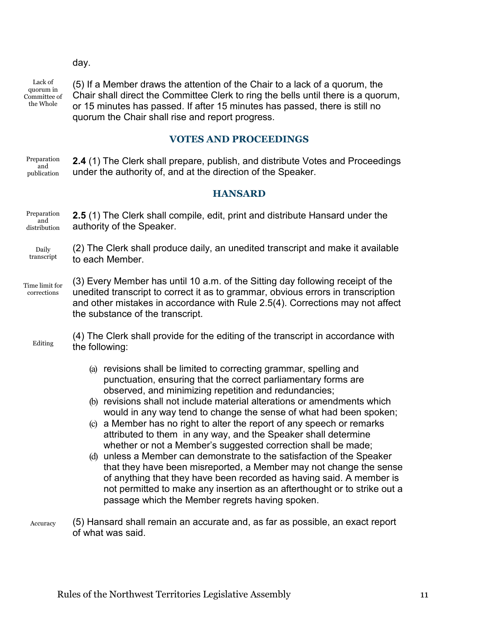#### day.

Lack of quorum in Committee of the Whole

<span id="page-13-2"></span>(5) If a Member draws the attention of the Chair to a lack of a quorum, the Chair shall direct the Committee Clerk to ring the bells until there is a quorum, or 15 minutes has passed. If after 15 minutes has passed, there is still no quorum the Chair shall rise and report progress.

#### **VOTES AND PROCEEDINGS**

<span id="page-13-0"></span>Preparation and publication **2.4** (1) The Clerk shall prepare, publish, and distribute Votes and Proceedings under the authority of, and at the direction of the Speaker.

#### **HANSARD**

<span id="page-13-1"></span>Preparation and distribution **2.5** (1) The Clerk shall compile, edit, print and distribute Hansard under the authority of the Speaker.

Daily transcript (2) The Clerk shall produce daily, an unedited transcript and make it available to each Member.

Time limit for corrections (3) Every Member has until 10 a.m. of the Sitting day following receipt of the unedited transcript to correct it as to grammar, obvious errors in transcription and other mistakes in accordance with Rule 2.5(4). Corrections may not affect the substance of the transcript.

Editing (4) The Clerk shall provide for the editing of the transcript in accordance with the following:

- (a) revisions shall be limited to correcting grammar, spelling and punctuation, ensuring that the correct parliamentary forms are observed, and minimizing repetition and redundancies;
- (b) revisions shall not include material alterations or amendments which would in any way tend to change the sense of what had been spoken;
- (c) a Member has no right to alter the report of any speech or remarks attributed to them in any way, and the Speaker shall determine whether or not a Member's suggested correction shall be made;
- (d) unless a Member can demonstrate to the satisfaction of the Speaker that they have been misreported, a Member may not change the sense of anything that they have been recorded as having said. A member is not permitted to make any insertion as an afterthought or to strike out a passage which the Member regrets having spoken.
- Accuracy (5) Hansard shall remain an accurate and, as far as possible, an exact report of what was said.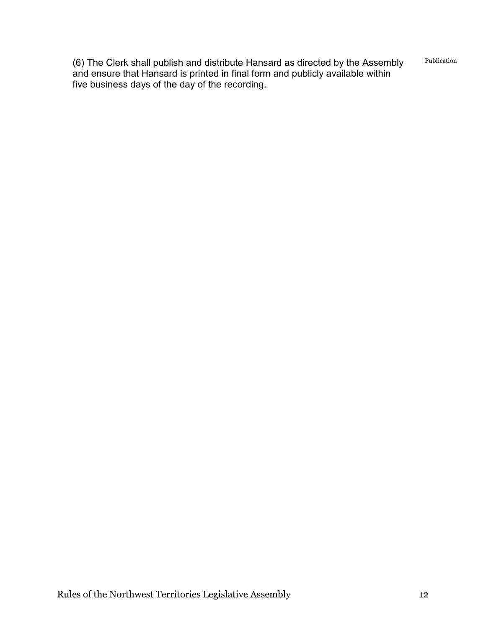(6) The Clerk shall publish and distribute Hansard as directed by the Assembly and ensure that Hansard is printed in final form and publicly available within five business days of the day of the recording. Publication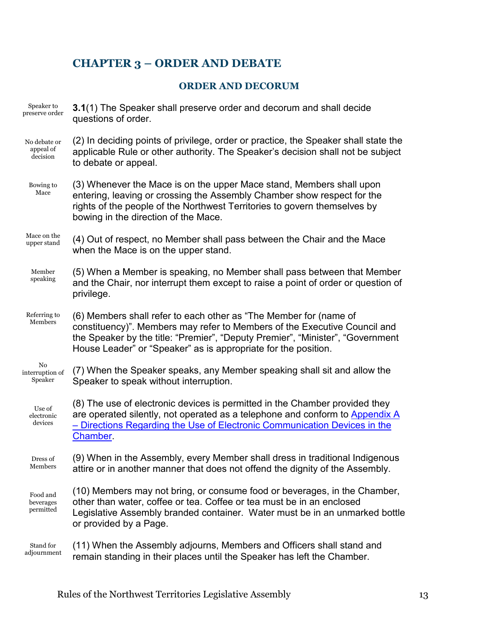## <span id="page-15-1"></span><span id="page-15-0"></span>**CHAPTER 3 – ORDER AND DEBATE**

## **ORDER AND DECORUM**

| Speaker to<br>preserve order          | 3.1(1) The Speaker shall preserve order and decorum and shall decide<br>questions of order.                                                                                                                                                                                                        |
|---------------------------------------|----------------------------------------------------------------------------------------------------------------------------------------------------------------------------------------------------------------------------------------------------------------------------------------------------|
| No debate or<br>appeal of<br>decision | (2) In deciding points of privilege, order or practice, the Speaker shall state the<br>applicable Rule or other authority. The Speaker's decision shall not be subject<br>to debate or appeal.                                                                                                     |
| Bowing to<br>Mace                     | (3) Whenever the Mace is on the upper Mace stand, Members shall upon<br>entering, leaving or crossing the Assembly Chamber show respect for the<br>rights of the people of the Northwest Territories to govern themselves by<br>bowing in the direction of the Mace.                               |
| Mace on the<br>upper stand            | (4) Out of respect, no Member shall pass between the Chair and the Mace<br>when the Mace is on the upper stand.                                                                                                                                                                                    |
| Member<br>speaking                    | (5) When a Member is speaking, no Member shall pass between that Member<br>and the Chair, nor interrupt them except to raise a point of order or question of<br>privilege.                                                                                                                         |
| Referring to<br>Members               | (6) Members shall refer to each other as "The Member for (name of<br>constituency)". Members may refer to Members of the Executive Council and<br>the Speaker by the title: "Premier", "Deputy Premier", "Minister", "Government<br>House Leader" or "Speaker" as is appropriate for the position. |
| No<br>interruption of<br>Speaker      | (7) When the Speaker speaks, any Member speaking shall sit and allow the<br>Speaker to speak without interruption.                                                                                                                                                                                 |
| Use of<br>electronic<br>devices       | (8) The use of electronic devices is permitted in the Chamber provided they<br>are operated silently, not operated as a telephone and conform to Appendix A<br>- Directions Regarding the Use of Electronic Communication Devices in the<br>Chamber.                                               |
| Dress of<br>Members                   | (9) When in the Assembly, every Member shall dress in traditional Indigenous<br>attire or in another manner that does not offend the dignity of the Assembly.                                                                                                                                      |
| Food and<br>beverages<br>permitted    | (10) Members may not bring, or consume food or beverages, in the Chamber,<br>other than water, coffee or tea. Coffee or tea must be in an enclosed<br>Legislative Assembly branded container. Water must be in an unmarked bottle<br>or provided by a Page.                                        |
| Stand for<br>adjournment              | (11) When the Assembly adjourns, Members and Officers shall stand and<br>remain standing in their places until the Speaker has left the Chamber.                                                                                                                                                   |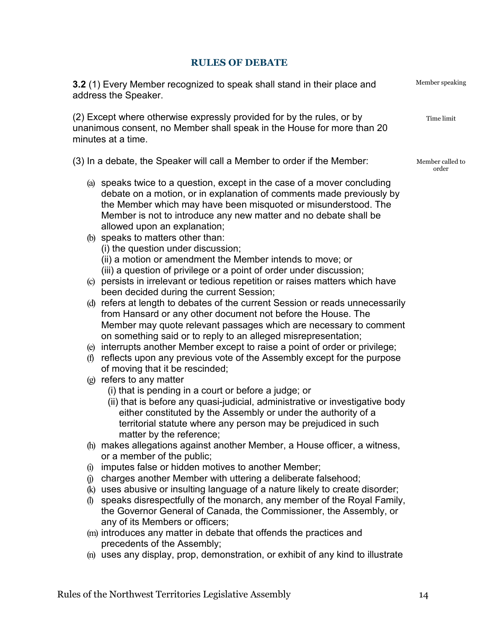## **RULES OF DEBATE**

<span id="page-16-0"></span>

| 3.2 (1) Every Member recognized to speak shall stand in their place and<br>address the Speaker.                                                                                                                                                                                                                                                                                                                                                                                                                                       | Member speaking           |
|---------------------------------------------------------------------------------------------------------------------------------------------------------------------------------------------------------------------------------------------------------------------------------------------------------------------------------------------------------------------------------------------------------------------------------------------------------------------------------------------------------------------------------------|---------------------------|
| (2) Except where otherwise expressly provided for by the rules, or by<br>unanimous consent, no Member shall speak in the House for more than 20<br>minutes at a time.                                                                                                                                                                                                                                                                                                                                                                 | Time limit                |
| (3) In a debate, the Speaker will call a Member to order if the Member:                                                                                                                                                                                                                                                                                                                                                                                                                                                               | Member called to<br>order |
| (a) speaks twice to a question, except in the case of a mover concluding<br>debate on a motion, or in explanation of comments made previously by<br>the Member which may have been misquoted or misunderstood. The<br>Member is not to introduce any new matter and no debate shall be<br>allowed upon an explanation;<br>(b) speaks to matters other than:<br>(i) the question under discussion;<br>(ii) a motion or amendment the Member intends to move; or<br>(iii) a question of privilege or a point of order under discussion; |                           |
| (c) persists in irrelevant or tedious repetition or raises matters which have<br>been decided during the current Session;                                                                                                                                                                                                                                                                                                                                                                                                             |                           |
| (d) refers at length to debates of the current Session or reads unnecessarily<br>from Hansard or any other document not before the House. The<br>Member may quote relevant passages which are necessary to comment<br>on something said or to reply to an alleged misrepresentation;                                                                                                                                                                                                                                                  |                           |
| (e) interrupts another Member except to raise a point of order or privilege;<br>reflects upon any previous vote of the Assembly except for the purpose<br>(f)<br>of moving that it be rescinded;                                                                                                                                                                                                                                                                                                                                      |                           |
| $(g)$ refers to any matter<br>(i) that is pending in a court or before a judge; or<br>(ii) that is before any quasi-judicial, administrative or investigative body<br>either constituted by the Assembly or under the authority of a<br>territorial statute where any person may be prejudiced in such<br>matter by the reference;                                                                                                                                                                                                    |                           |
| (h) makes allegations against another Member, a House officer, a witness,<br>or a member of the public;                                                                                                                                                                                                                                                                                                                                                                                                                               |                           |
| imputes false or hidden motives to another Member;<br>$\left( 1\right)$                                                                                                                                                                                                                                                                                                                                                                                                                                                               |                           |
| charges another Member with uttering a deliberate falsehood;<br>$\left($ i $\right)$                                                                                                                                                                                                                                                                                                                                                                                                                                                  |                           |
| (k) uses abusive or insulting language of a nature likely to create disorder;                                                                                                                                                                                                                                                                                                                                                                                                                                                         |                           |
| speaks disrespectfully of the monarch, any member of the Royal Family,<br>$\mathbf{r}$<br>the Governor General of Canada, the Commissioner, the Assembly, or<br>any of its Members or officers;                                                                                                                                                                                                                                                                                                                                       |                           |
| (m) introduces any matter in debate that offends the practices and<br>precedents of the Assembly;                                                                                                                                                                                                                                                                                                                                                                                                                                     |                           |
| (n) uses any display, prop, demonstration, or exhibit of any kind to illustrate                                                                                                                                                                                                                                                                                                                                                                                                                                                       |                           |
|                                                                                                                                                                                                                                                                                                                                                                                                                                                                                                                                       |                           |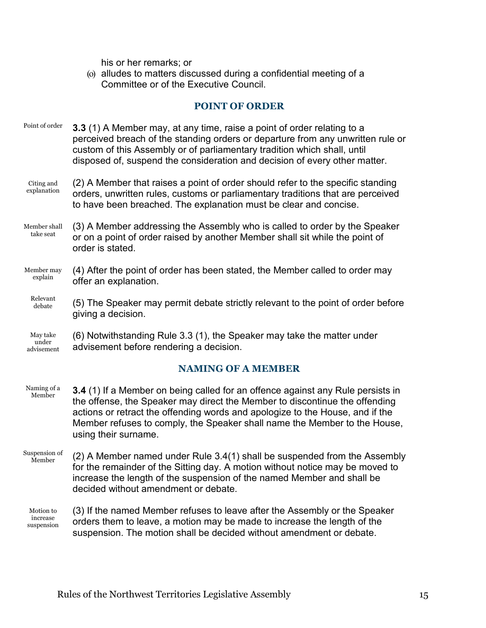his or her remarks; or

<span id="page-17-0"></span>(o) alludes to matters discussed during a confidential meeting of a Committee or of the Executive Council.

## **POINT OF ORDER**

| Point of order                  | 3.3 (1) A Member may, at any time, raise a point of order relating to a<br>perceived breach of the standing orders or departure from any unwritten rule or<br>custom of this Assembly or of parliamentary tradition which shall, until<br>disposed of, suspend the consideration and decision of every other matter. |
|---------------------------------|----------------------------------------------------------------------------------------------------------------------------------------------------------------------------------------------------------------------------------------------------------------------------------------------------------------------|
| Citing and<br>explanation       | (2) A Member that raises a point of order should refer to the specific standing<br>orders, unwritten rules, customs or parliamentary traditions that are perceived<br>to have been breached. The explanation must be clear and concise.                                                                              |
| Member shall<br>take seat       | (3) A Member addressing the Assembly who is called to order by the Speaker<br>or on a point of order raised by another Member shall sit while the point of<br>order is stated.                                                                                                                                       |
| Member may<br>explain           | (4) After the point of order has been stated, the Member called to order may<br>offer an explanation.                                                                                                                                                                                                                |
| Relevant<br>debate              | (5) The Speaker may permit debate strictly relevant to the point of order before<br>giving a decision.                                                                                                                                                                                                               |
| May take<br>under<br>advisement | (6) Notwithstanding Rule 3.3 (1), the Speaker may take the matter under<br>advisement before rendering a decision.                                                                                                                                                                                                   |
|                                 | <b>NAMING OF A MEMBER</b>                                                                                                                                                                                                                                                                                            |

- <span id="page-17-1"></span>Naming of a Member **3.4** (1) If a Member on being called for an offence against any Rule persists in the offense, the Speaker may direct the Member to discontinue the offending actions or retract the offending words and apologize to the House, and if the Member refuses to comply, the Speaker shall name the Member to the House, using their surname.
- Suspension of Member (2) A Member named under Rule 3.4(1) shall be suspended from the Assembly for the remainder of the Sitting day. A motion without notice may be moved to increase the length of the suspension of the named Member and shall be decided without amendment or debate.
	- Motion to increase suspension (3) If the named Member refuses to leave after the Assembly or the Speaker orders them to leave, a motion may be made to increase the length of the suspension. The motion shall be decided without amendment or debate.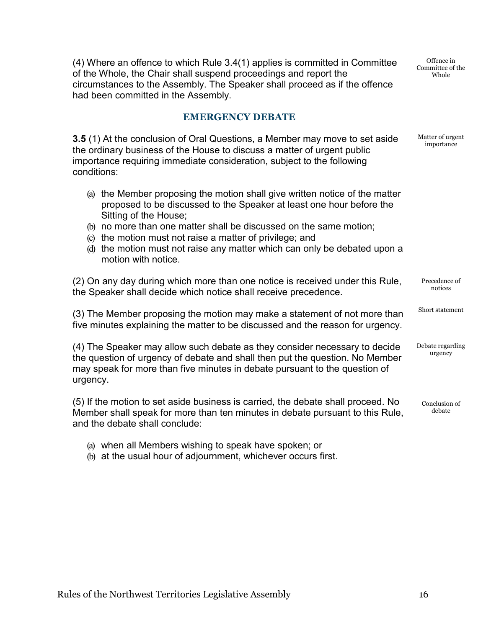(4) Where an offence to which Rule 3.4(1) applies is committed in Committee of the Whole, the Chair shall suspend proceedings and report the circumstances to the Assembly. The Speaker shall proceed as if the offence had been committed in the Assembly.

Offence in Committee of the Whole

Matter of urgent importance

Short statement

urgency

## **EMERGENCY DEBATE**

<span id="page-18-0"></span>**3.5** (1) At the conclusion of Oral Questions, a Member may move to set aside the ordinary business of the House to discuss a matter of urgent public importance requiring immediate consideration, subject to the following conditions:

- (a) the Member proposing the motion shall give written notice of the matter proposed to be discussed to the Speaker at least one hour before the Sitting of the House;
- (b) no more than one matter shall be discussed on the same motion;
- (c) the motion must not raise a matter of privilege; and
- (d) the motion must not raise any matter which can only be debated upon a motion with notice.

(2) On any day during which more than one notice is received under this Rule, the Speaker shall decide which notice shall receive precedence. Precedence of notices

(3) The Member proposing the motion may make a statement of not more than five minutes explaining the matter to be discussed and the reason for urgency.

(4) The Speaker may allow such debate as they consider necessary to decide the question of urgency of debate and shall then put the question. No Member may speak for more than five minutes in debate pursuant to the question of urgency. Debate regarding

(5) If the motion to set aside business is carried, the debate shall proceed. No Member shall speak for more than ten minutes in debate pursuant to this Rule, and the debate shall conclude: Conclusion of debate

- (a) when all Members wishing to speak have spoken; or
- (b) at the usual hour of adjournment, whichever occurs first.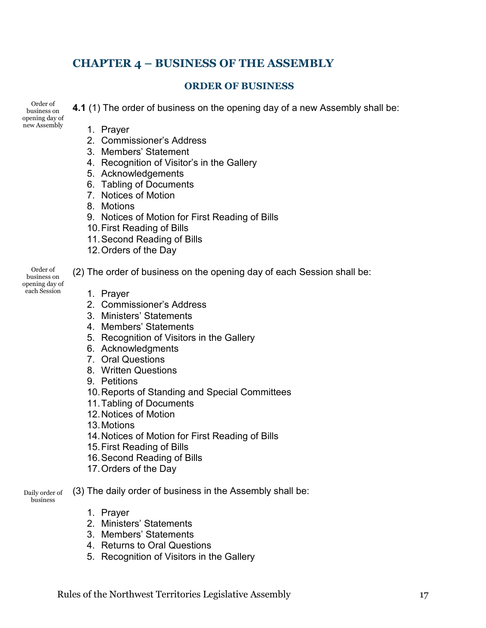## <span id="page-19-0"></span>**CHAPTER 4 – BUSINESS OF THE ASSEMBLY**

## **ORDER OF BUSINESS**

Order of business on opening day of new Assembly

<span id="page-19-1"></span>**4.1** (1) The order of business on the opening day of a new Assembly shall be:

- 1. Prayer
- 2. Commissioner's Address
- 3. Members' Statement
- 4. Recognition of Visitor's in the Gallery
- 5. Acknowledgements
- 6. Tabling of Documents
- 7. Notices of Motion
- 8. Motions
- 9. Notices of Motion for First Reading of Bills
- 10.First Reading of Bills
- 11.Second Reading of Bills
- 12.Orders of the Day

Order of business on opening day of each Session

- (2) The order of business on the opening day of each Session shall be:
	- 1. Prayer
	- 2. Commissioner's Address
	- 3. Ministers' Statements
	- 4. Members' Statements
	- 5. Recognition of Visitors in the Gallery
	- 6. Acknowledgments
	- 7. Oral Questions
	- 8. Written Questions
	- 9. Petitions
	- 10.Reports of Standing and Special Committees
	- 11.Tabling of Documents
	- 12.Notices of Motion
	- 13.Motions
	- 14.Notices of Motion for First Reading of Bills
	- 15.First Reading of Bills
	- 16.Second Reading of Bills
	- 17.Orders of the Day
- Daily order of (3) The daily order of business in the Assembly shall be:
	- business
- 1. Prayer
- 2. Ministers' Statements
- 3. Members' Statements
- 4. Returns to Oral Questions
- 5. Recognition of Visitors in the Gallery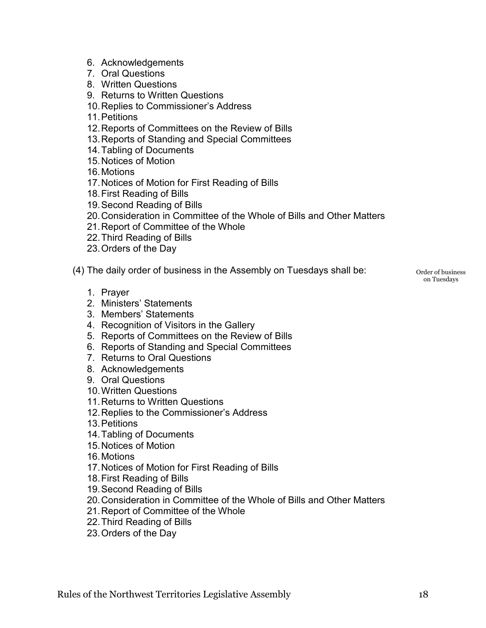- 6. Acknowledgements
- 7. Oral Questions
- 8. Written Questions
- 9. Returns to Written Questions
- 10.Replies to Commissioner's Address
- 11.Petitions
- 12.Reports of Committees on the Review of Bills
- 13.Reports of Standing and Special Committees
- 14.Tabling of Documents
- 15.Notices of Motion
- 16.Motions
- 17.Notices of Motion for First Reading of Bills
- 18.First Reading of Bills
- 19.Second Reading of Bills
- 20.Consideration in Committee of the Whole of Bills and Other Matters
- 21.Report of Committee of the Whole
- 22.Third Reading of Bills
- 23.Orders of the Day
- (4) The daily order of business in the Assembly on Tuesdays shall be:
	- 1. Prayer
	- 2. Ministers' Statements
	- 3. Members' Statements
	- 4. Recognition of Visitors in the Gallery
	- 5. Reports of Committees on the Review of Bills
	- 6. Reports of Standing and Special Committees
	- 7. Returns to Oral Questions
	- 8. Acknowledgements
	- 9. Oral Questions
	- 10.Written Questions
	- 11.Returns to Written Questions
	- 12.Replies to the Commissioner's Address
	- 13.Petitions
	- 14.Tabling of Documents
	- 15.Notices of Motion
	- 16.Motions
	- 17.Notices of Motion for First Reading of Bills
	- 18.First Reading of Bills
	- 19.Second Reading of Bills
	- 20.Consideration in Committee of the Whole of Bills and Other Matters
	- 21.Report of Committee of the Whole
	- 22.Third Reading of Bills
	- 23.Orders of the Day

Order of business on Tuesdays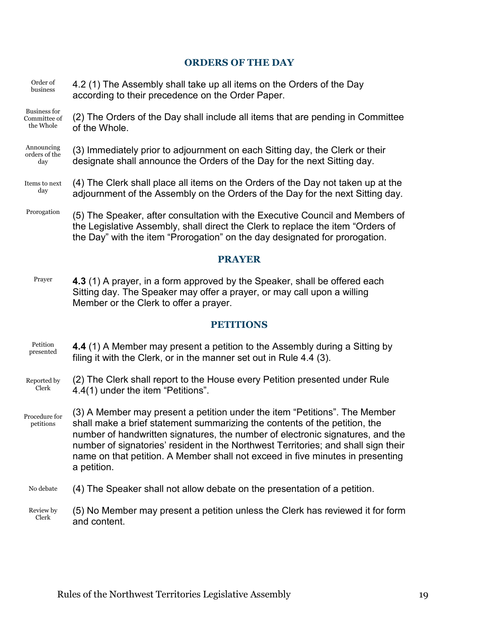#### **ORDERS OF THE DAY**

- <span id="page-21-0"></span>Order of business 4.2 (1) The Assembly shall take up all items on the Orders of the Day according to their precedence on the Order Paper.
- Business for Committee of the Whole (2) The Orders of the Day shall include all items that are pending in Committee of the Whole.

#### Announcing orders of the day (3) Immediately prior to adjournment on each Sitting day, the Clerk or their designate shall announce the Orders of the Day for the next Sitting day.

#### Items to next day (4) The Clerk shall place all items on the Orders of the Day not taken up at the adjournment of the Assembly on the Orders of the Day for the next Sitting day.

Prorogation (5) The Speaker, after consultation with the Executive Council and Members of the Legislative Assembly, shall direct the Clerk to replace the item "Orders of the Day" with the item "Prorogation" on the day designated for prorogation.

#### **PRAYER**

<span id="page-21-1"></span>Prayer **4.3** (1) A prayer, in a form approved by the Speaker, shall be offered each Sitting day. The Speaker may offer a prayer, or may call upon a willing Member or the Clerk to offer a prayer.

#### **PETITIONS**

- <span id="page-21-2"></span>Petition presented **4.4** (1) A Member may present a petition to the Assembly during a Sitting by filing it with the Clerk, or in the manner set out in Rule 4.4 (3).
- Reported by Clerk (2) The Clerk shall report to the House every Petition presented under Rule 4.4(1) under the item "Petitions".
- Procedure for petitions (3) A Member may present a petition under the item "Petitions". The Member shall make a brief statement summarizing the contents of the petition, the number of handwritten signatures, the number of electronic signatures, and the number of signatories' resident in the Northwest Territories; and shall sign their name on that petition. A Member shall not exceed in five minutes in presenting a petition.
- No debate (4) The Speaker shall not allow debate on the presentation of a petition.
- Review by Clerk (5) No Member may present a petition unless the Clerk has reviewed it for form and content.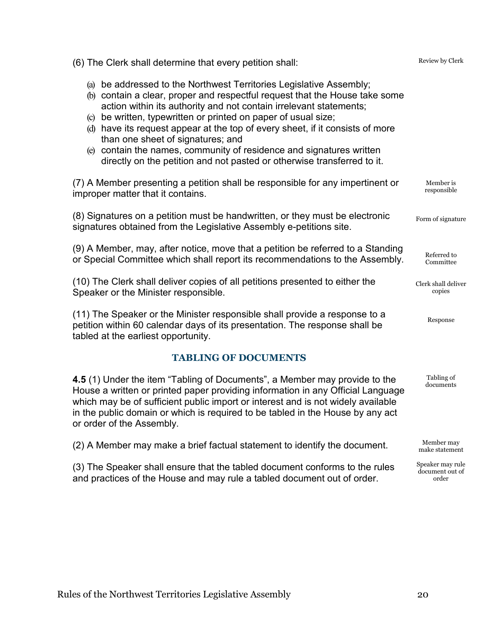(6) The Clerk shall determine that every petition shall:

- (a) be addressed to the Northwest Territories Legislative Assembly;
- (b) contain a clear, proper and respectful request that the House take some action within its authority and not contain irrelevant statements;
- (c) be written, typewritten or printed on paper of usual size;
- (d) have its request appear at the top of every sheet, if it consists of more than one sheet of signatures; and
- (e) contain the names, community of residence and signatures written directly on the petition and not pasted or otherwise transferred to it.

(7) A Member presenting a petition shall be responsible for any impertinent or improper matter that it contains.

(8) Signatures on a petition must be handwritten, or they must be electronic signatures obtained from the Legislative Assembly e-petitions site.

(9) A Member, may, after notice, move that a petition be referred to a Standing or Special Committee which shall report its recommendations to the Assembly.

(10) The Clerk shall deliver copies of all petitions presented to either the Speaker or the Minister responsible.

(11) The Speaker or the Minister responsible shall provide a response to a petition within 60 calendar days of its presentation. The response shall be tabled at the earliest opportunity.

## **TABLING OF DOCUMENTS**

<span id="page-22-0"></span>**4.5** (1) Under the item "Tabling of Documents", a Member may provide to the House a written or printed paper providing information in any Official Language which may be of sufficient public import or interest and is not widely available in the public domain or which is required to be tabled in the House by any act or order of the Assembly.

(2) A Member may make a brief factual statement to identify the document.

(3) The Speaker shall ensure that the tabled document conforms to the rules and practices of the House and may rule a tabled document out of order.

Review by Clerk

Member is responsible

Form of signature

Referred to Committee

Clerk shall deliver copies

Response

Tabling of documents

Member may make statement

Speaker may rule document out of order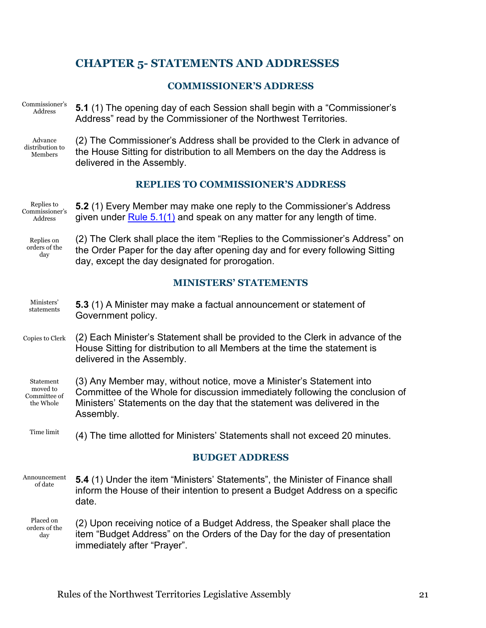## <span id="page-23-0"></span>**CHAPTER 5- STATEMENTS AND ADDRESSES**

## **COMMISSIONER'S ADDRESS**

Commissioner's Address

<span id="page-23-5"></span><span id="page-23-1"></span>**5.1** (1) The opening day of each Session shall begin with a "Commissioner's Address" read by the Commissioner of the Northwest Territories.

Advance distribution to Members

<span id="page-23-2"></span>(2) The Commissioner's Address shall be provided to the Clerk in advance of the House Sitting for distribution to all Members on the day the Address is delivered in the Assembly.

## **REPLIES TO COMMISSIONER'S ADDRESS**

Replies to Commissioner's Address **5.2** (1) Every Member may make one reply to the Commissioner's Address given under [Rule 5.1\(1\)](#page-23-5) and speak on any matter for any length of time.

Replies on orders of the day

<span id="page-23-6"></span><span id="page-23-3"></span>(2) The Clerk shall place the item "Replies to the Commissioner's Address" on the Order Paper for the day after opening day and for every following Sitting day, except the day designated for prorogation.

## **MINISTERS' STATEMENTS**

- **Ministers** statements **5.3** (1) A Minister may make a factual announcement or statement of Government policy.
- Copies to Clerk (2) Each Minister's Statement shall be provided to the Clerk in advance of the House Sitting for distribution to all Members at the time the statement is delivered in the Assembly.

Statement moved to Committee of the Whole (3) Any Member may, without notice, move a Minister's Statement into Committee of the Whole for discussion immediately following the conclusion of Ministers' Statements on the day that the statement was delivered in the Assembly.

<span id="page-23-4"></span>Time limit (4) The time allotted for Ministers' Statements shall not exceed 20 minutes.

## **BUDGET ADDRESS**

- Announcement of date **5.4** (1) Under the item "Ministers' Statements", the Minister of Finance shall inform the House of their intention to present a Budget Address on a specific date.
- Placed on orders of the day (2) Upon receiving notice of a Budget Address, the Speaker shall place the item "Budget Address" on the Orders of the Day for the day of presentation immediately after "Prayer".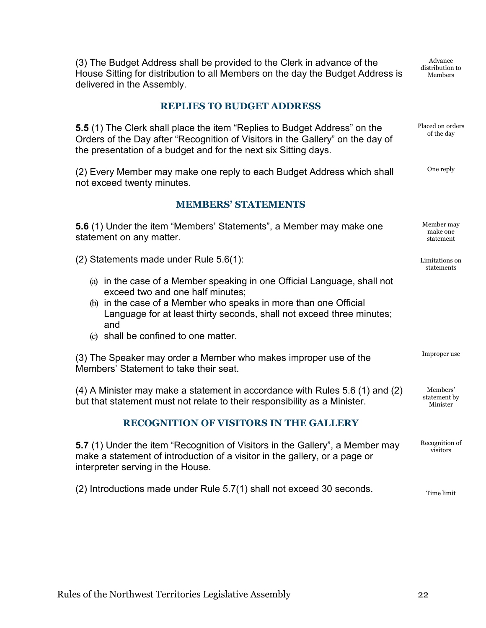(3) The Budget Address shall be provided to the Clerk in advance of the House Sitting for distribution to all Members on the day the Budget Address is delivered in the Assembly.

Advance distribution to Members

Limitations on statements

Improper use

Members' statement by Minister

Time limit

#### **REPLIES TO BUDGET ADDRESS**

<span id="page-24-3"></span><span id="page-24-0"></span>**5.5** (1) The Clerk shall place the item "Replies to Budget Address" on the Orders of the Day after "Recognition of Visitors in the Gallery" on the day of the presentation of a budget and for the next six Sitting days. Placed on orders of the day

(2) Every Member may make one reply to each Budget Address which shall not exceed twenty minutes. One reply

#### **MEMBERS' STATEMENTS**

<span id="page-24-1"></span>**5.6** (1) Under the item "Members' Statements", a Member may make one statement on any matter. Member may make one statement

(2) Statements made under Rule 5.6(1):

- (a) in the case of a Member speaking in one Official Language, shall not exceed two and one half minutes;
- (b) in the case of a Member who speaks in more than one Official Language for at least thirty seconds, shall not exceed three minutes; and
- (c) shall be confined to one matter.

(3) The Speaker may order a Member who makes improper use of the Members' Statement to take their seat.

(4) A Minister may make a statement in accordance with Rules 5.6 (1) and (2) but that statement must not relate to their responsibility as a Minister.

## **RECOGNITION OF VISITORS IN THE GALLERY**

<span id="page-24-2"></span>**5.7** (1) Under the item "Recognition of Visitors in the Gallery", a Member may make a statement of introduction of a visitor in the gallery, or a page or interpreter serving in the House. Recognition of visitors

(2) Introductions made under Rule 5.7(1) shall not exceed 30 seconds.

Rules of the Northwest Territories Legislative Assembly 22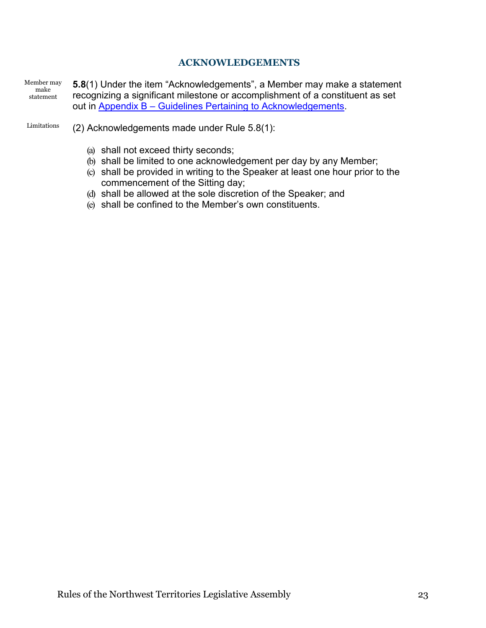## **ACKNOWLEDGEMENTS**

<span id="page-25-0"></span>Member may make statement **5.8**(1) Under the item "Acknowledgements", a Member may make a statement recognizing a significant milestone or accomplishment of a constituent as set out in Appendix B – [Guidelines Pertaining to Acknowledgements.](#page-47-2)

- Limitations (2) Acknowledgements made under Rule 5.8(1):
	- (a) shall not exceed thirty seconds;
	- (b) shall be limited to one acknowledgement per day by any Member;
	- (c) shall be provided in writing to the Speaker at least one hour prior to the commencement of the Sitting day;
	- (d) shall be allowed at the sole discretion of the Speaker; and
	- (e) shall be confined to the Member's own constituents.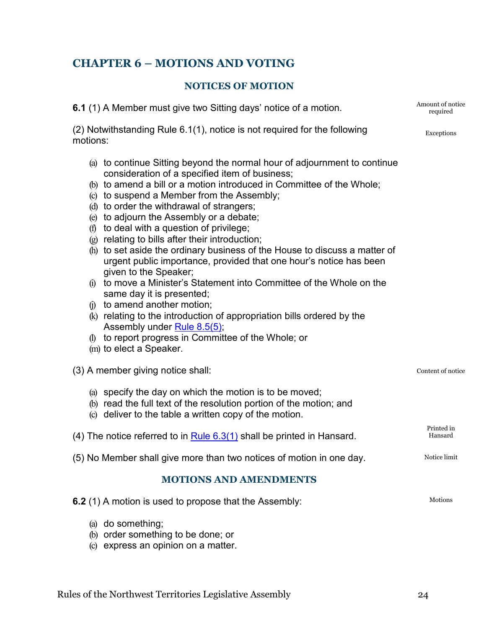## <span id="page-26-0"></span>**CHAPTER 6 – MOTIONS AND VOTING**

## **NOTICES OF MOTION**

<span id="page-26-3"></span><span id="page-26-1"></span>**6.1** (1) A Member must give two Sitting days' notice of a motion.

(2) Notwithstanding Rule 6.1(1), notice is not required for the following motions:

- (a) to continue Sitting beyond the normal hour of adjournment to continue consideration of a specified item of business;
- (b) to amend a bill or a motion introduced in Committee of the Whole;
- (c) to suspend a Member from the Assembly;
- (d) to order the withdrawal of strangers;
- (e) to adjourn the Assembly or a debate;
- (f) to deal with a question of privilege;
- (g) relating to bills after their introduction;
- (h) to set aside the ordinary business of the House to discuss a matter of urgent public importance, provided that one hour's notice has been given to the Speaker;
- (i) to move a Minister's Statement into Committee of the Whole on the same day it is presented;
- (j) to amend another motion;
- (k) relating to the introduction of appropriation bills ordered by the Assembly under [Rule 8.5\(5\);](#page-35-0)
- (l) to report progress in Committee of the Whole; or
- (m) to elect a Speaker.

(3) A member giving notice shall:

- (a) specify the day on which the motion is to be moved;
- (b) read the full text of the resolution portion of the motion; and
- (c) deliver to the table a written copy of the motion.

(4) The notice referred to in Rule  $6.3(1)$  shall be printed in Hansard.

(5) No Member shall give more than two notices of motion in one day.

## **MOTIONS AND AMENDMENTS**

<span id="page-26-2"></span>

| 6.2 (1) A motion is used to propose that the Assembly: |  |
|--------------------------------------------------------|--|
| (a) do something;                                      |  |

- (b) order something to be done; or
- (c) express an opinion on a matter.

Amount of notice required

Exceptions

Content of notice

Printed in Hansard

Notice limit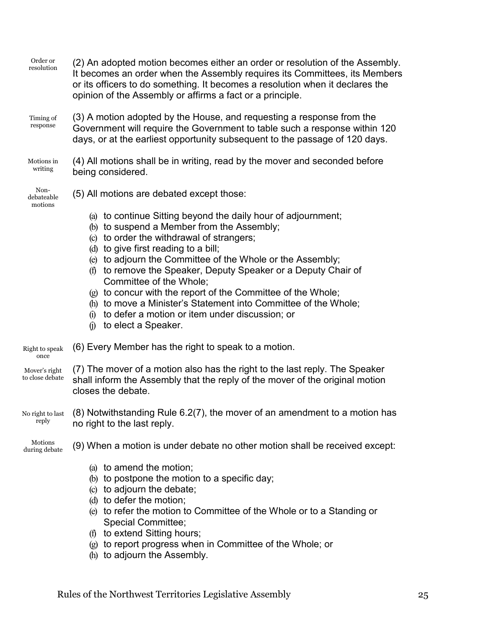| Order or<br>resolution           | (2) An adopted motion becomes either an order or resolution of the Assembly.<br>It becomes an order when the Assembly requires its Committees, its Members<br>or its officers to do something. It becomes a resolution when it declares the<br>opinion of the Assembly or affirms a fact or a principle.                                                                                                                                                                                                                                                                             |
|----------------------------------|--------------------------------------------------------------------------------------------------------------------------------------------------------------------------------------------------------------------------------------------------------------------------------------------------------------------------------------------------------------------------------------------------------------------------------------------------------------------------------------------------------------------------------------------------------------------------------------|
| Timing of<br>response            | (3) A motion adopted by the House, and requesting a response from the<br>Government will require the Government to table such a response within 120<br>days, or at the earliest opportunity subsequent to the passage of 120 days.                                                                                                                                                                                                                                                                                                                                                   |
| Motions in<br>writing            | (4) All motions shall be in writing, read by the mover and seconded before<br>being considered.                                                                                                                                                                                                                                                                                                                                                                                                                                                                                      |
| Non-<br>debateable<br>motions    | (5) All motions are debated except those:                                                                                                                                                                                                                                                                                                                                                                                                                                                                                                                                            |
|                                  | (a) to continue Sitting beyond the daily hour of adjournment;<br>(b) to suspend a Member from the Assembly;<br>(c) to order the withdrawal of strangers;<br>(d) to give first reading to a bill;<br>(e) to adjourn the Committee of the Whole or the Assembly;<br>to remove the Speaker, Deputy Speaker or a Deputy Chair of<br>(f)<br>Committee of the Whole;<br>(g) to concur with the report of the Committee of the Whole;<br>(h) to move a Minister's Statement into Committee of the Whole;<br>(i) to defer a motion or item under discussion; or<br>$(i)$ to elect a Speaker. |
| Right to speak<br>once           | (6) Every Member has the right to speak to a motion.                                                                                                                                                                                                                                                                                                                                                                                                                                                                                                                                 |
| Mover's right<br>to close debate | (7) The mover of a motion also has the right to the last reply. The Speaker<br>shall inform the Assembly that the reply of the mover of the original motion<br>closes the debate.                                                                                                                                                                                                                                                                                                                                                                                                    |
| No right to last<br>reply        | (8) Notwithstanding Rule 6.2(7), the mover of an amendment to a motion has<br>no right to the last reply.                                                                                                                                                                                                                                                                                                                                                                                                                                                                            |
| Motions<br>during debate         | (9) When a motion is under debate no other motion shall be received except:                                                                                                                                                                                                                                                                                                                                                                                                                                                                                                          |
|                                  | (a) to amend the motion;<br>(b) to postpone the motion to a specific day;<br>(c) to adjourn the debate;<br>(d) to defer the motion;<br>(e) to refer the motion to Committee of the Whole or to a Standing or<br><b>Special Committee;</b><br>(f) to extend Sitting hours;<br>$(g)$ to report progress when in Committee of the Whole; or<br>(h) to adjourn the Assembly.                                                                                                                                                                                                             |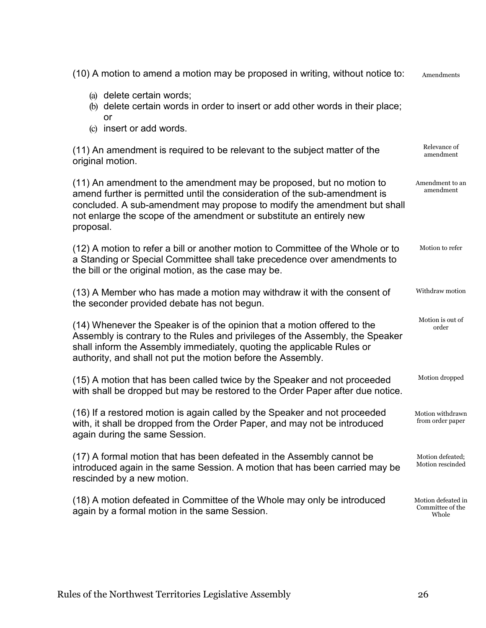(10) A motion to amend a motion may be proposed in writing, without notice to: (a) delete certain words; (b) delete certain words in order to insert or add other words in their place; or (c) insert or add words. (11) An amendment is required to be relevant to the subject matter of the original motion. (11) An amendment to the amendment may be proposed, but no motion to amend further is permitted until the consideration of the sub-amendment is concluded. A sub-amendment may propose to modify the amendment but shall not enlarge the scope of the amendment or substitute an entirely new proposal. (12) A motion to refer a bill or another motion to Committee of the Whole or to a Standing or Special Committee shall take precedence over amendments to the bill or the original motion, as the case may be. (13) A Member who has made a motion may withdraw it with the consent of the seconder provided debate has not begun. (14) Whenever the Speaker is of the opinion that a motion offered to the Assembly is contrary to the Rules and privileges of the Assembly, the Speaker shall inform the Assembly immediately, quoting the applicable Rules or authority, and shall not put the motion before the Assembly. (15) A motion that has been called twice by the Speaker and not proceeded with shall be dropped but may be restored to the Order Paper after due notice. (16) If a restored motion is again called by the Speaker and not proceeded with, it shall be dropped from the Order Paper, and may not be introduced again during the same Session. (17) A formal motion that has been defeated in the Assembly cannot be introduced again in the same Session. A motion that has been carried may be rescinded by a new motion. (18) A motion defeated in Committee of the Whole may only be introduced again by a formal motion in the same Session. Amendments Relevance of amendment Amendment to an amendment Motion to refer Withdraw motion Motion is out of order Motion dropped Motion withdrawn from order paper Motion defeated; Motion rescinded Motion defeated in Committee of the Whole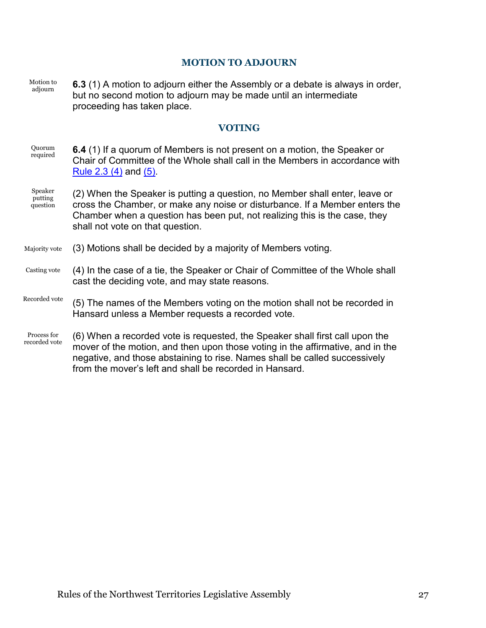#### **MOTION TO ADJOURN**

<span id="page-29-2"></span><span id="page-29-0"></span>Motion to adjourn **6.3** (1) A motion to adjourn either the Assembly or a debate is always in order, but no second motion to adjourn may be made until an intermediate proceeding has taken place.

#### **VOTING**

- <span id="page-29-1"></span>Quorum required **6.4** (1) If a quorum of Members is not present on a motion, the Speaker or Chair of Committee of the Whole shall call in the Members in accordance with [Rule 2.3 \(4\)](#page-12-2) and [\(5\).](#page-13-2)
- Speaker putting question (2) When the Speaker is putting a question, no Member shall enter, leave or cross the Chamber, or make any noise or disturbance. If a Member enters the Chamber when a question has been put, not realizing this is the case, they shall not vote on that question.
- Majority vote (3) Motions shall be decided by a majority of Members voting.
- Casting vote (4) In the case of a tie, the Speaker or Chair of Committee of the Whole shall cast the deciding vote, and may state reasons.
- <span id="page-29-3"></span>Recorded vote (5) The names of the Members voting on the motion shall not be recorded in Hansard unless a Member requests a recorded vote.
- Process for recorded vote (6) When a recorded vote is requested, the Speaker shall first call upon the mover of the motion, and then upon those voting in the affirmative, and in the negative, and those abstaining to rise. Names shall be called successively from the mover's left and shall be recorded in Hansard.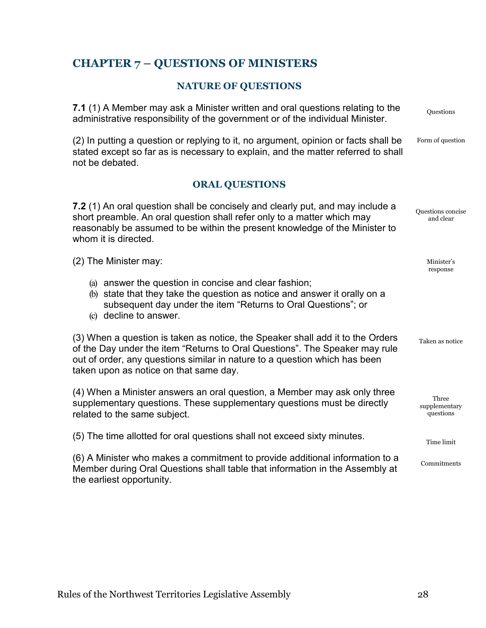## <span id="page-30-0"></span>**CHAPTER 7 – QUESTIONS OF MINISTERS**

## **NATURE OF QUESTIONS**

<span id="page-30-2"></span><span id="page-30-1"></span>

| 7.1 (1) A Member may ask a Minister written and oral questions relating to the<br>administrative responsibility of the government or of the individual Minister.                                                                                                                      | Questions                           |
|---------------------------------------------------------------------------------------------------------------------------------------------------------------------------------------------------------------------------------------------------------------------------------------|-------------------------------------|
| (2) In putting a question or replying to it, no argument, opinion or facts shall be<br>stated except so far as is necessary to explain, and the matter referred to shall<br>not be debated.                                                                                           | Form of question                    |
| <b>ORAL QUESTIONS</b>                                                                                                                                                                                                                                                                 |                                     |
| 7.2 (1) An oral question shall be concisely and clearly put, and may include a<br>short preamble. An oral question shall refer only to a matter which may<br>reasonably be assumed to be within the present knowledge of the Minister to<br>whom it is directed.                      | Questions concise<br>and clear      |
| (2) The Minister may:                                                                                                                                                                                                                                                                 | Minister's<br>response              |
| (a) answer the question in concise and clear fashion;<br>(b) state that they take the question as notice and answer it orally on a<br>subsequent day under the item "Returns to Oral Questions"; or<br>(c) decline to answer.                                                         |                                     |
| (3) When a question is taken as notice, the Speaker shall add it to the Orders<br>of the Day under the item "Returns to Oral Questions". The Speaker may rule<br>out of order, any questions similar in nature to a question which has been<br>taken upon as notice on that same day. | Taken as notice                     |
| (4) When a Minister answers an oral question, a Member may ask only three<br>supplementary questions. These supplementary questions must be directly<br>related to the same subject.                                                                                                  | Three<br>supplementary<br>questions |
| (5) The time allotted for oral questions shall not exceed sixty minutes.                                                                                                                                                                                                              | Time limit                          |
| (6) A Minister who makes a commitment to provide additional information to a<br>Member during Oral Questions shall table that information in the Assembly at<br>the earliest opportunity.                                                                                             | Commitments                         |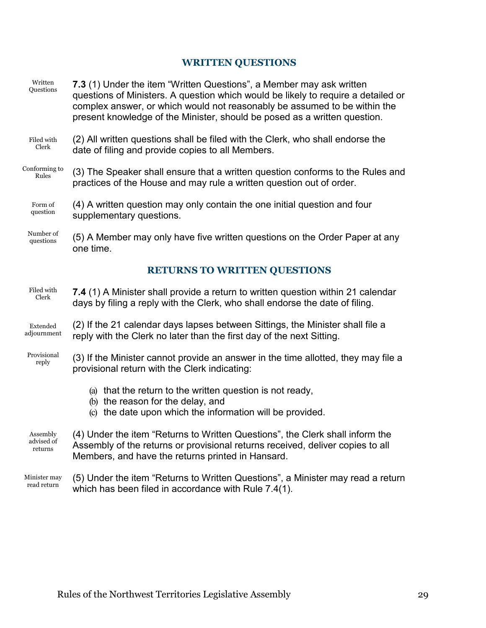## **WRITTEN QUESTIONS**

<span id="page-31-3"></span><span id="page-31-2"></span><span id="page-31-1"></span><span id="page-31-0"></span>

| Written<br>Questions | 7.3 (1) Under the item "Written Questions", a Member may ask written<br>questions of Ministers. A question which would be likely to require a detailed or<br>complex answer, or which would not reasonably be assumed to be within the<br>present knowledge of the Minister, should be posed as a written question. |
|----------------------|---------------------------------------------------------------------------------------------------------------------------------------------------------------------------------------------------------------------------------------------------------------------------------------------------------------------|
| Filed with           | (2) All written questions shall be filed with the Clerk, who shall endorse the                                                                                                                                                                                                                                      |
| Clerk                | date of filing and provide copies to all Members.                                                                                                                                                                                                                                                                   |
| Conforming to        | (3) The Speaker shall ensure that a written question conforms to the Rules and                                                                                                                                                                                                                                      |
| Rules                | practices of the House and may rule a written question out of order.                                                                                                                                                                                                                                                |
| Form of              | (4) A written question may only contain the one initial question and four                                                                                                                                                                                                                                           |
| question             | supplementary questions.                                                                                                                                                                                                                                                                                            |
| Number of            | (5) A Member may only have five written questions on the Order Paper at any                                                                                                                                                                                                                                         |
| questions            | one time.                                                                                                                                                                                                                                                                                                           |
|                      | <b>RETURNS TO WRITTEN QUESTIONS</b>                                                                                                                                                                                                                                                                                 |
| Filed with           | 7.4 (1) A Minister shall provide a return to written question within 21 calendar                                                                                                                                                                                                                                    |
| Clerk                | days by filing a reply with the Clerk, who shall endorse the date of filing.                                                                                                                                                                                                                                        |
| Extended             | (2) If the 21 calendar days lapses between Sittings, the Minister shall file a                                                                                                                                                                                                                                      |
| adjournment          | reply with the Clerk no later than the first day of the next Sitting.                                                                                                                                                                                                                                               |
| Provisional          | (3) If the Minister cannot provide an answer in the time allotted, they may file a                                                                                                                                                                                                                                  |
| reply                | provisional return with the Clerk indicating:                                                                                                                                                                                                                                                                       |
|                      | (a) that the return to the written question is not ready,<br>(b) the reason for the delay, and<br>(c) the date upon which the information will be provided.                                                                                                                                                         |
| Assembly             | (4) Under the item "Returns to Written Questions", the Clerk shall inform the                                                                                                                                                                                                                                       |
| advised of           | Assembly of the returns or provisional returns received, deliver copies to all                                                                                                                                                                                                                                      |
| returns              | Members, and have the returns printed in Hansard.                                                                                                                                                                                                                                                                   |
| Minister may         | (5) Under the item "Returns to Written Questions", a Minister may read a return                                                                                                                                                                                                                                     |
| read return          | which has been filed in accordance with Rule 7.4(1).                                                                                                                                                                                                                                                                |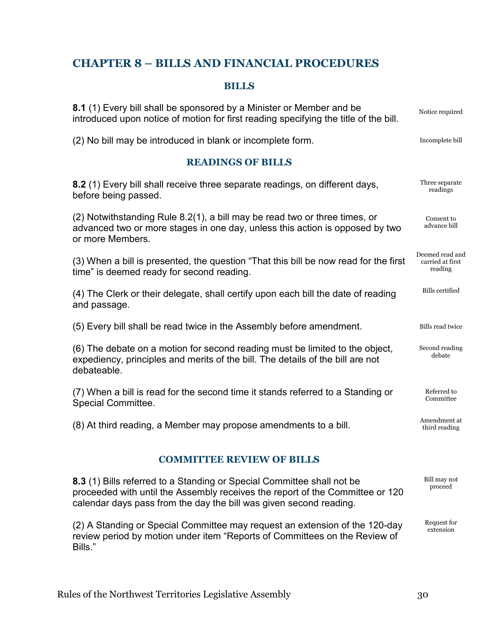## <span id="page-32-0"></span>**CHAPTER 8 – BILLS AND FINANCIAL PROCEDURES**

## **BILLS**

<span id="page-32-4"></span><span id="page-32-2"></span><span id="page-32-1"></span>

| 8.1 (1) Every bill shall be sponsored by a Minister or Member and be<br>introduced upon notice of motion for first reading specifying the title of the bill.                   | Notice required                                |
|--------------------------------------------------------------------------------------------------------------------------------------------------------------------------------|------------------------------------------------|
| (2) No bill may be introduced in blank or incomplete form.                                                                                                                     | Incomplete bill                                |
| <b>READINGS OF BILLS</b>                                                                                                                                                       |                                                |
| 8.2 (1) Every bill shall receive three separate readings, on different days,<br>before being passed.                                                                           | Three separate<br>readings                     |
| (2) Notwithstanding Rule 8.2(1), a bill may be read two or three times, or<br>advanced two or more stages in one day, unless this action is opposed by two<br>or more Members. | Consent to<br>advance bill                     |
| (3) When a bill is presented, the question "That this bill be now read for the first<br>time" is deemed ready for second reading.                                              | Deemed read and<br>carried at first<br>reading |
| (4) The Clerk or their delegate, shall certify upon each bill the date of reading<br>and passage.                                                                              | <b>Bills</b> certified                         |
| (5) Every bill shall be read twice in the Assembly before amendment.                                                                                                           | <b>Bills read twice</b>                        |
| (6) The debate on a motion for second reading must be limited to the object,<br>expediency, principles and merits of the bill. The details of the bill are not<br>debateable.  | Second reading<br>debate                       |
| (7) When a bill is read for the second time it stands referred to a Standing or<br><b>Special Committee.</b>                                                                   | Referred to<br>Committee                       |
| (8) At third reading, a Member may propose amendments to a bill.                                                                                                               | Amendment at<br>third reading                  |
| <b>COMMITTEE REVIEW OF BILLS</b>                                                                                                                                               |                                                |

<span id="page-32-5"></span><span id="page-32-3"></span>**8.3** (1) Bills referred to a Standing or Special Committee shall not be proceeded with until the Assembly receives the report of the Committee or 120 calendar days pass from the day the bill was given second reading. Bill may not proceed

(2) A Standing or Special Committee may request an extension of the 120-day review period by motion under item "Reports of Committees on the Review of Bills." Request for extension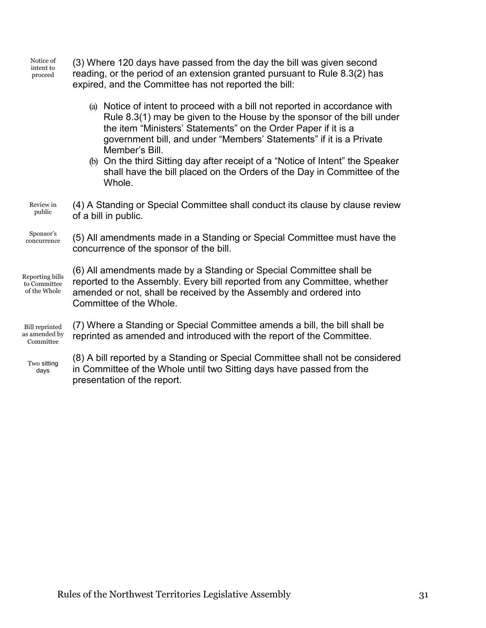Notice of intent to proceed

(3) Where 120 days have passed from the day the bill was given second reading, or the period of an extension granted pursuant to Rule 8.3(2) has expired, and the Committee has not reported the bill:

- (a) Notice of intent to proceed with a bill not reported in accordance with Rule 8.3(1) may be given to the House by the sponsor of the bill under the item "Ministers' Statements" on the Order Paper if it is a government bill, and under "Members' Statements" if it is a Private Member's Bill.
- (b) On the third Sitting day after receipt of a "Notice of Intent" the Speaker shall have the bill placed on the Orders of the Day in Committee of the Whole.
- Review in public (4) A Standing or Special Committee shall conduct its clause by clause review of a bill in public.

Sponsor's concurrence

(5) All amendments made in a Standing or Special Committee must have the concurrence of the sponsor of the bill.

Reporting bills to Committee of the Whole

(6) All amendments made by a Standing or Special Committee shall be reported to the Assembly. Every bill reported from any Committee, whether amended or not, shall be received by the Assembly and ordered into Committee of the Whole.

Bill reprinted as amended by Committee

(7) Where a Standing or Special Committee amends a bill, the bill shall be reprinted as amended and introduced with the report of the Committee.

Two sitting days

(8) A bill reported by a Standing or Special Committee shall not be considered in Committee of the Whole until two Sitting days have passed from the presentation of the report.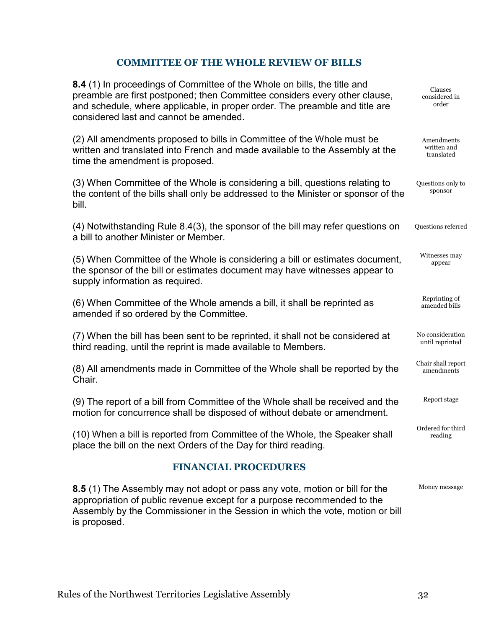## **COMMITTEE OF THE WHOLE REVIEW OF BILLS**

<span id="page-34-2"></span><span id="page-34-0"></span>

| 8.4 (1) In proceedings of Committee of the Whole on bills, the title and<br>preamble are first postponed; then Committee considers every other clause,<br>and schedule, where applicable, in proper order. The preamble and title are<br>considered last and cannot be amended. | Clauses<br>considered in<br>order       |
|---------------------------------------------------------------------------------------------------------------------------------------------------------------------------------------------------------------------------------------------------------------------------------|-----------------------------------------|
| (2) All amendments proposed to bills in Committee of the Whole must be<br>written and translated into French and made available to the Assembly at the<br>time the amendment is proposed.                                                                                       | Amendments<br>written and<br>translated |
| (3) When Committee of the Whole is considering a bill, questions relating to<br>the content of the bills shall only be addressed to the Minister or sponsor of the<br>bill.                                                                                                     | Questions only to<br>sponsor            |
| (4) Notwithstanding Rule 8.4(3), the sponsor of the bill may refer questions on<br>a bill to another Minister or Member.                                                                                                                                                        | Questions referred                      |
| (5) When Committee of the Whole is considering a bill or estimates document,<br>the sponsor of the bill or estimates document may have witnesses appear to<br>supply information as required.                                                                                   | Witnesses may<br>appear                 |
| (6) When Committee of the Whole amends a bill, it shall be reprinted as<br>amended if so ordered by the Committee.                                                                                                                                                              | Reprinting of<br>amended bills          |
| (7) When the bill has been sent to be reprinted, it shall not be considered at<br>third reading, until the reprint is made available to Members.                                                                                                                                | No consideration<br>until reprinted     |
| (8) All amendments made in Committee of the Whole shall be reported by the<br>Chair.                                                                                                                                                                                            | Chair shall report<br>amendments        |
| (9) The report of a bill from Committee of the Whole shall be received and the<br>motion for concurrence shall be disposed of without debate or amendment.                                                                                                                      | Report stage                            |
| (10) When a bill is reported from Committee of the Whole, the Speaker shall<br>place the bill on the next Orders of the Day for third reading.                                                                                                                                  | Ordered for third<br>reading            |
| <b>FINANCIAL PROCEDURES</b>                                                                                                                                                                                                                                                     |                                         |
| 8.5 (1) The Assembly may not adopt or pass any vote, motion or bill for the<br>appropriation of public revenue except for a purpose recommended to the                                                                                                                          | Money message                           |

<span id="page-34-1"></span>Assembly by the Commissioner in the Session in which the vote, motion or bill

is proposed.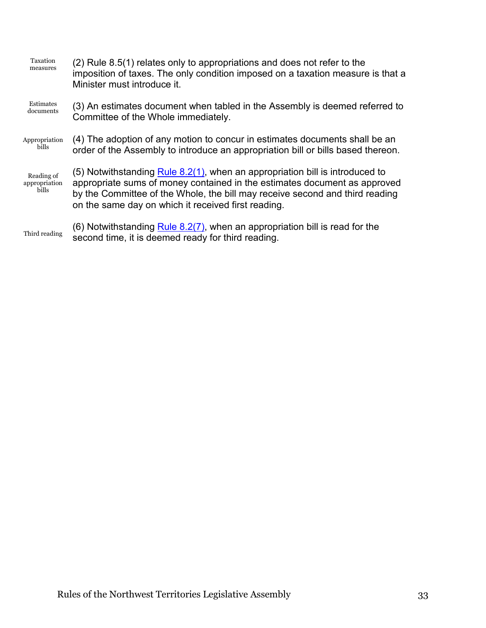<span id="page-35-0"></span>

| Taxation<br>measures                 | (2) Rule 8.5(1) relates only to appropriations and does not refer to the<br>imposition of taxes. The only condition imposed on a taxation measure is that a<br>Minister must introduce it.                                                                                                       |
|--------------------------------------|--------------------------------------------------------------------------------------------------------------------------------------------------------------------------------------------------------------------------------------------------------------------------------------------------|
| Estimates<br>documents               | (3) An estimates document when tabled in the Assembly is deemed referred to<br>Committee of the Whole immediately.                                                                                                                                                                               |
| Appropriation<br>bills               | (4) The adoption of any motion to concur in estimates documents shall be an<br>order of the Assembly to introduce an appropriation bill or bills based thereon.                                                                                                                                  |
| Reading of<br>appropriation<br>bills | (5) Notwithstanding Rule 8.2(1), when an appropriation bill is introduced to<br>appropriate sums of money contained in the estimates document as approved<br>by the Committee of the Whole, the bill may receive second and third reading<br>on the same day on which it received first reading. |
| Third reading                        | (6) Notwithstanding $Rule 8.2(7)$ , when an appropriation bill is read for the<br>second time, it is deemed ready for third reading.                                                                                                                                                             |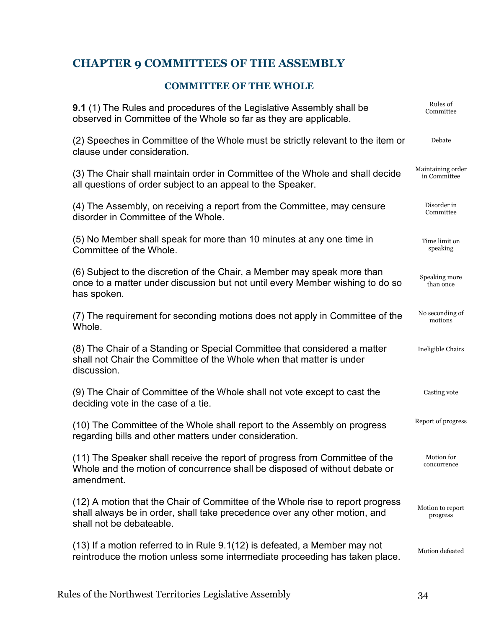## <span id="page-36-0"></span>**CHAPTER 9 COMMITTEES OF THE ASSEMBLY**

## **COMMITTEE OF THE WHOLE**

<span id="page-36-1"></span>

| <b>9.1</b> (1) The Rules and procedures of the Legislative Assembly shall be<br>observed in Committee of the Whole so far as they are applicable.                                        | Rules of<br>Committee             |
|------------------------------------------------------------------------------------------------------------------------------------------------------------------------------------------|-----------------------------------|
| (2) Speeches in Committee of the Whole must be strictly relevant to the item or<br>clause under consideration.                                                                           | Debate                            |
| (3) The Chair shall maintain order in Committee of the Whole and shall decide<br>all questions of order subject to an appeal to the Speaker.                                             | Maintaining order<br>in Committee |
| (4) The Assembly, on receiving a report from the Committee, may censure<br>disorder in Committee of the Whole.                                                                           | Disorder in<br>Committee          |
| (5) No Member shall speak for more than 10 minutes at any one time in<br>Committee of the Whole.                                                                                         | Time limit on<br>speaking         |
| (6) Subject to the discretion of the Chair, a Member may speak more than<br>once to a matter under discussion but not until every Member wishing to do so<br>has spoken.                 | Speaking more<br>than once        |
| (7) The requirement for seconding motions does not apply in Committee of the<br>Whole.                                                                                                   | No seconding of<br>motions        |
| (8) The Chair of a Standing or Special Committee that considered a matter<br>shall not Chair the Committee of the Whole when that matter is under<br>discussion.                         | Ineligible Chairs                 |
| (9) The Chair of Committee of the Whole shall not vote except to cast the<br>deciding vote in the case of a tie.                                                                         | Casting vote                      |
| (10) The Committee of the Whole shall report to the Assembly on progress<br>regarding bills and other matters under consideration.                                                       | Report of progress                |
| (11) The Speaker shall receive the report of progress from Committee of the<br>Whole and the motion of concurrence shall be disposed of without debate or<br>amendment.                  | Motion for<br>concurrence         |
| (12) A motion that the Chair of Committee of the Whole rise to report progress<br>shall always be in order, shall take precedence over any other motion, and<br>shall not be debateable. | Motion to report<br>progress      |
| (13) If a motion referred to in Rule 9.1(12) is defeated, a Member may not<br>reintroduce the motion unless some intermediate proceeding has taken place.                                | Motion defeated                   |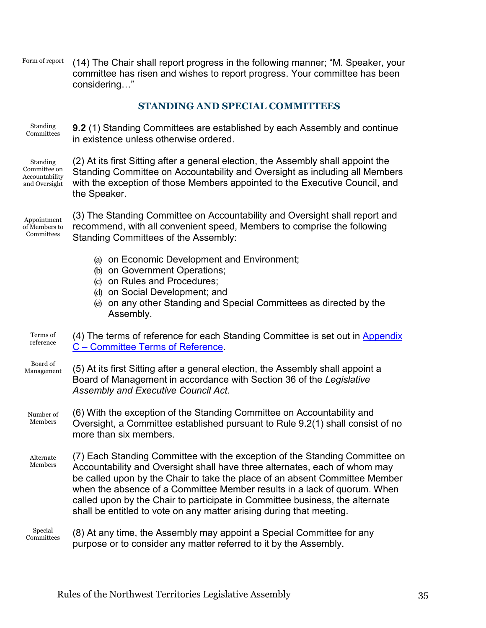Form of report (14) The Chair shall report progress in the following manner; "M. Speaker, your committee has risen and wishes to report progress. Your committee has been considering…"

## **STANDING AND SPECIAL COMMITTEES**

<span id="page-37-0"></span>Standing Committees **9.2** (1) Standing Committees are established by each Assembly and continue in existence unless otherwise ordered.

Standing Committee on Accountability and Oversight

(2) At its first Sitting after a general election, the Assembly shall appoint the Standing Committee on Accountability and Oversight as including all Members with the exception of those Members appointed to the Executive Council, and the Speaker.

Appointment of Members to Committees

(3) The Standing Committee on Accountability and Oversight shall report and recommend, with all convenient speed, Members to comprise the following Standing Committees of the Assembly:

- (a) on Economic Development and Environment;
- (b) on Government Operations;
- (c) on Rules and Procedures;
- (d) on Social Development; and
- (e) on any other Standing and Special Committees as directed by the Assembly.

Terms of reference (4) The terms of reference for each Standing Committee is set out in [Appendix](#page-48-2)  C – [Committee Terms of Reference.](#page-48-2)

- Board of Management (5) At its first Sitting after a general election, the Assembly shall appoint a Board of Management in accordance with Section 36 of the *Legislative Assembly and Executive Council Act*.
- Number of Members (6) With the exception of the Standing Committee on Accountability and Oversight, a Committee established pursuant to Rule 9.2(1) shall consist of no more than six members.
- Alternate Members (7) Each Standing Committee with the exception of the Standing Committee on Accountability and Oversight shall have three alternates, each of whom may be called upon by the Chair to take the place of an absent Committee Member when the absence of a Committee Member results in a lack of quorum. When called upon by the Chair to participate in Committee business, the alternate shall be entitled to vote on any matter arising during that meeting.
- Special Committees (8) At any time, the Assembly may appoint a Special Committee for any purpose or to consider any matter referred to it by the Assembly.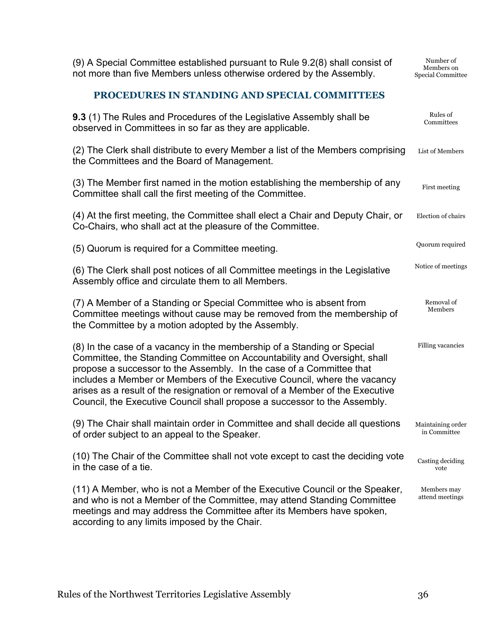(9) A Special Committee established pursuant to Rule 9.2(8) shall consist of not more than five Members unless otherwise ordered by the Assembly.

Number of Members on Special Committee

## **PROCEDURES IN STANDING AND SPECIAL COMMITTEES**

<span id="page-38-0"></span>

| <b>9.3</b> (1) The Rules and Procedures of the Legislative Assembly shall be<br>observed in Committees in so far as they are applicable.                                                                                                                                                                                                                                                                                                                              | Rules of<br>Committees            |
|-----------------------------------------------------------------------------------------------------------------------------------------------------------------------------------------------------------------------------------------------------------------------------------------------------------------------------------------------------------------------------------------------------------------------------------------------------------------------|-----------------------------------|
| (2) The Clerk shall distribute to every Member a list of the Members comprising<br>the Committees and the Board of Management.                                                                                                                                                                                                                                                                                                                                        | List of Members                   |
| (3) The Member first named in the motion establishing the membership of any<br>Committee shall call the first meeting of the Committee.                                                                                                                                                                                                                                                                                                                               | First meeting                     |
| (4) At the first meeting, the Committee shall elect a Chair and Deputy Chair, or<br>Co-Chairs, who shall act at the pleasure of the Committee.                                                                                                                                                                                                                                                                                                                        | Election of chairs                |
| (5) Quorum is required for a Committee meeting.                                                                                                                                                                                                                                                                                                                                                                                                                       | Quorum required                   |
| (6) The Clerk shall post notices of all Committee meetings in the Legislative<br>Assembly office and circulate them to all Members.                                                                                                                                                                                                                                                                                                                                   | Notice of meetings                |
| (7) A Member of a Standing or Special Committee who is absent from<br>Committee meetings without cause may be removed from the membership of<br>the Committee by a motion adopted by the Assembly.                                                                                                                                                                                                                                                                    | Removal of<br>Members             |
| (8) In the case of a vacancy in the membership of a Standing or Special<br>Committee, the Standing Committee on Accountability and Oversight, shall<br>propose a successor to the Assembly. In the case of a Committee that<br>includes a Member or Members of the Executive Council, where the vacancy<br>arises as a result of the resignation or removal of a Member of the Executive<br>Council, the Executive Council shall propose a successor to the Assembly. | Filling vacancies                 |
| (9) The Chair shall maintain order in Committee and shall decide all questions<br>of order subject to an appeal to the Speaker.                                                                                                                                                                                                                                                                                                                                       | Maintaining order<br>in Committee |
| (10) The Chair of the Committee shall not vote except to cast the deciding vote<br>in the case of a tie.                                                                                                                                                                                                                                                                                                                                                              | Casting deciding<br>vote          |
| (11) A Member, who is not a Member of the Executive Council or the Speaker,<br>and who is not a Member of the Committee, may attend Standing Committee<br>meetings and may address the Committee after its Members have spoken,<br>according to any limits imposed by the Chair.                                                                                                                                                                                      | Members may<br>attend meetings    |
|                                                                                                                                                                                                                                                                                                                                                                                                                                                                       |                                   |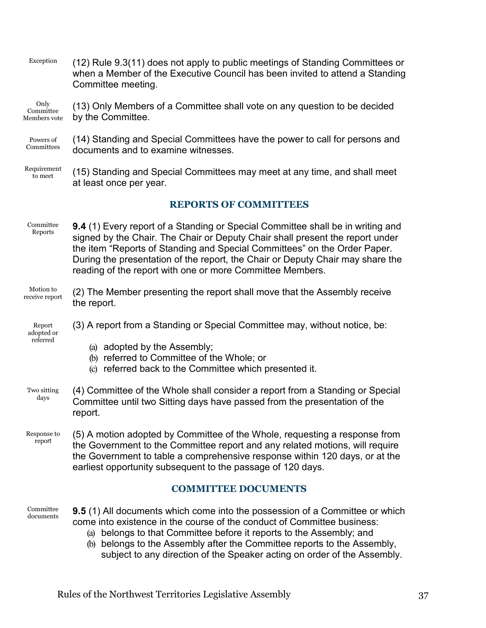Exception (12) Rule 9.3(11) does not apply to public meetings of Standing Committees or when a Member of the Executive Council has been invited to attend a Standing Committee meeting.

#### Only Committee Members vote (13) Only Members of a Committee shall vote on any question to be decided by the Committee.

Powers of Committees (14) Standing and Special Committees have the power to call for persons and documents and to examine witnesses.

Requirement to meet (15) Standing and Special Committees may meet at any time, and shall meet at least once per year.

## **REPORTS OF COMMITTEES**

- <span id="page-39-0"></span>Committee Reports **9.4** (1) Every report of a Standing or Special Committee shall be in writing and signed by the Chair. The Chair or Deputy Chair shall present the report under the item "Reports of Standing and Special Committees" on the Order Paper. During the presentation of the report, the Chair or Deputy Chair may share the reading of the report with one or more Committee Members.
- Motion to receive report (2) The Member presenting the report shall move that the Assembly receive the report.
- Report adopted or referred (3) A report from a Standing or Special Committee may, without notice, be:
	- (a) adopted by the Assembly;
	- (b) referred to Committee of the Whole; or
	- (c) referred back to the Committee which presented it.
- Two sitting days (4) Committee of the Whole shall consider a report from a Standing or Special Committee until two Sitting days have passed from the presentation of the report.
- Response to report (5) A motion adopted by Committee of the Whole, requesting a response from the Government to the Committee report and any related motions, will require the Government to table a comprehensive response within 120 days, or at the earliest opportunity subsequent to the passage of 120 days.

## **COMMITTEE DOCUMENTS**

- <span id="page-39-1"></span>Committee documents **9.5** (1) All documents which come into the possession of a Committee or which come into existence in the course of the conduct of Committee business:
	- (a) belongs to that Committee before it reports to the Assembly; and
	- (b) belongs to the Assembly after the Committee reports to the Assembly, subject to any direction of the Speaker acting on order of the Assembly.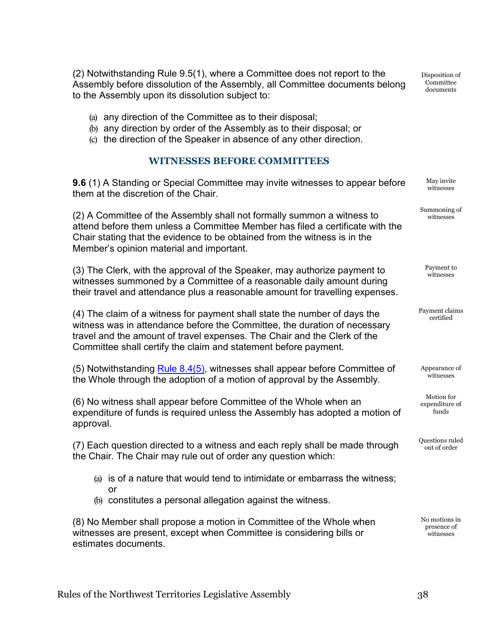(2) Notwithstanding Rule 9.5(1), where a Committee does not report to the Assembly before dissolution of the Assembly, all Committee documents belong to the Assembly upon its dissolution subject to:

Disposition of **Committee** documents

> May invite witnesses

Summoning of witnesses

> Payment to witnesses

Payment claims certified

Appearance of witnesses

Motion for expenditure of funds

Questions ruled out of order

No motions in presence of witnesses

- (a) any direction of the Committee as to their disposal;
- (b) any direction by order of the Assembly as to their disposal; or
- (c) the direction of the Speaker in absence of any other direction.

## **WITNESSES BEFORE COMMITTEES**

<span id="page-40-0"></span>**9.6** (1) A Standing or Special Committee may invite witnesses to appear before them at the discretion of the Chair.

(2) A Committee of the Assembly shall not formally summon a witness to attend before them unless a Committee Member has filed a certificate with the Chair stating that the evidence to be obtained from the witness is in the Member's opinion material and important.

(3) The Clerk, with the approval of the Speaker, may authorize payment to witnesses summoned by a Committee of a reasonable daily amount during their travel and attendance plus a reasonable amount for travelling expenses.

(4) The claim of a witness for payment shall state the number of days the witness was in attendance before the Committee, the duration of necessary travel and the amount of travel expenses. The Chair and the Clerk of the Committee shall certify the claim and statement before payment.

(5) Notwithstanding [Rule 8.4\(5\),](#page-34-2) witnesses shall appear before Committee of the Whole through the adoption of a motion of approval by the Assembly.

(6) No witness shall appear before Committee of the Whole when an expenditure of funds is required unless the Assembly has adopted a motion of approval.

(7) Each question directed to a witness and each reply shall be made through the Chair. The Chair may rule out of order any question which:

- (a) is of a nature that would tend to intimidate or embarrass the witness; or
- (b) constitutes a personal allegation against the witness.

(8) No Member shall propose a motion in Committee of the Whole when witnesses are present, except when Committee is considering bills or estimates documents.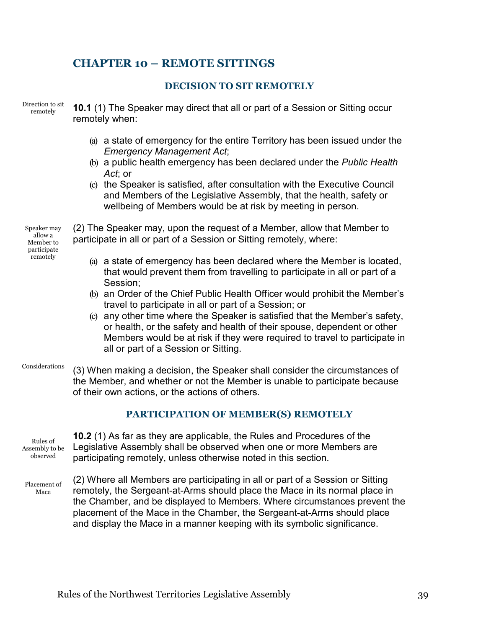## <span id="page-41-1"></span><span id="page-41-0"></span>**CHAPTER 10 – REMOTE SITTINGS**

#### **DECISION TO SIT REMOTELY**

Direction to sit remotely

**10.1** (1) The Speaker may direct that all or part of a Session or Sitting occur remotely when:

- (a) a state of emergency for the entire Territory has been issued under the *Emergency Management Act*;
- (b) a public health emergency has been declared under the *Public Health Act*; or
- (c) the Speaker is satisfied, after consultation with the Executive Council and Members of the Legislative Assembly, that the health, safety or wellbeing of Members would be at risk by meeting in person.

Speaker may allow a Member to participate remotely

(2) The Speaker may, upon the request of a Member, allow that Member to participate in all or part of a Session or Sitting remotely, where:

- (a) a state of emergency has been declared where the Member is located, that would prevent them from travelling to participate in all or part of a Session;
- (b) an Order of the Chief Public Health Officer would prohibit the Member's travel to participate in all or part of a Session; or
- (c) any other time where the Speaker is satisfied that the Member's safety, or health, or the safety and health of their spouse, dependent or other Members would be at risk if they were required to travel to participate in all or part of a Session or Sitting.
- Considerations (3) When making a decision, the Speaker shall consider the circumstances of the Member, and whether or not the Member is unable to participate because of their own actions, or the actions of others.

## **PARTICIPATION OF MEMBER(S) REMOTELY**

Rules of Assembly to be observed

<span id="page-41-2"></span>**10.2** (1) As far as they are applicable, the Rules and Procedures of the Legislative Assembly shall be observed when one or more Members are participating remotely, unless otherwise noted in this section.

Placement of Mace

(2) Where all Members are participating in all or part of a Session or Sitting remotely, the Sergeant-at-Arms should place the Mace in its normal place in the Chamber, and be displayed to Members. Where circumstances prevent the placement of the Mace in the Chamber, the Sergeant-at-Arms should place and display the Mace in a manner keeping with its symbolic significance.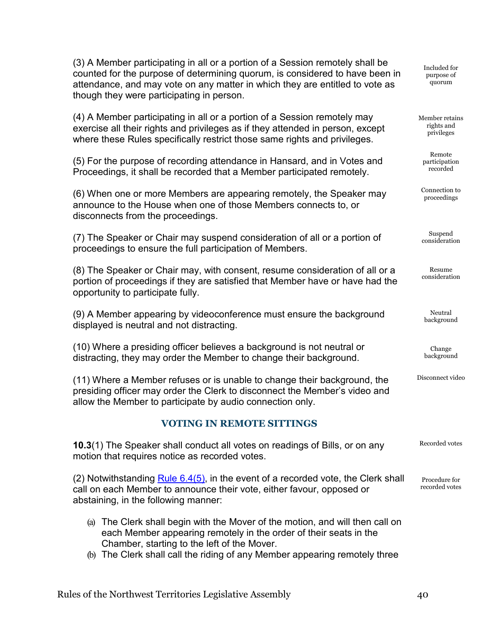(3) A Member participating in all or a portion of a Session remotely shall be counted for the purpose of determining quorum, is considered to have been in attendance, and may vote on any matter in which they are entitled to vote as though they were participating in person.

(4) A Member participating in all or a portion of a Session remotely may exercise all their rights and privileges as if they attended in person, except where these Rules specifically restrict those same rights and privileges.

(5) For the purpose of recording attendance in Hansard, and in Votes and Proceedings, it shall be recorded that a Member participated remotely.

(6) When one or more Members are appearing remotely, the Speaker may announce to the House when one of those Members connects to, or disconnects from the proceedings.

(7) The Speaker or Chair may suspend consideration of all or a portion of proceedings to ensure the full participation of Members.

(8) The Speaker or Chair may, with consent, resume consideration of all or a portion of proceedings if they are satisfied that Member have or have had the opportunity to participate fully.

(9) A Member appearing by videoconference must ensure the background displayed is neutral and not distracting.

(10) Where a presiding officer believes a background is not neutral or distracting, they may order the Member to change their background.

(11) Where a Member refuses or is unable to change their background, the presiding officer may order the Clerk to disconnect the Member's video and allow the Member to participate by audio connection only.

## **VOTING IN REMOTE SITTINGS**

<span id="page-42-0"></span>**10.3**(1) The Speaker shall conduct all votes on readings of Bills, or on any motion that requires notice as recorded votes. Recorded votes

 $(2)$  Notwithstanding Rule 6.4 $(5)$ , in the event of a recorded vote, the Clerk shall call on each Member to announce their vote, either favour, opposed or abstaining, in the following manner:

- (a) The Clerk shall begin with the Mover of the motion, and will then call on each Member appearing remotely in the order of their seats in the Chamber, starting to the left of the Mover.
- (b) The Clerk shall call the riding of any Member appearing remotely three

Included for purpose of quorum

Member retains rights and privileges

> Remote participation recorded

Connection to proceedings

Suspend consideration

Resume consideration

Neutral background

Change background

Disconnect video

Procedure for recorded votes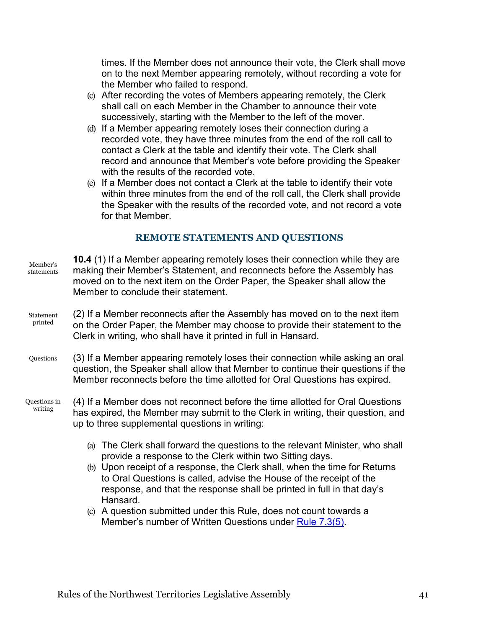times. If the Member does not announce their vote, the Clerk shall move on to the next Member appearing remotely, without recording a vote for the Member who failed to respond.

- (c) After recording the votes of Members appearing remotely, the Clerk shall call on each Member in the Chamber to announce their vote successively, starting with the Member to the left of the mover.
- (d) If a Member appearing remotely loses their connection during a recorded vote, they have three minutes from the end of the roll call to contact a Clerk at the table and identify their vote. The Clerk shall record and announce that Member's vote before providing the Speaker with the results of the recorded vote.
- (e) If a Member does not contact a Clerk at the table to identify their vote within three minutes from the end of the roll call, the Clerk shall provide the Speaker with the results of the recorded vote, and not record a vote for that Member.

## **REMOTE STATEMENTS AND QUESTIONS**

<span id="page-43-0"></span>

| Member's<br>statements  | <b>10.4</b> (1) If a Member appearing remotely loses their connection while they are<br>making their Member's Statement, and reconnects before the Assembly has<br>moved on to the next item on the Order Paper, the Speaker shall allow the<br>Member to conclude their statement.                                                                                                                                                                       |
|-------------------------|-----------------------------------------------------------------------------------------------------------------------------------------------------------------------------------------------------------------------------------------------------------------------------------------------------------------------------------------------------------------------------------------------------------------------------------------------------------|
| Statement<br>printed    | (2) If a Member reconnects after the Assembly has moved on to the next item<br>on the Order Paper, the Member may choose to provide their statement to the<br>Clerk in writing, who shall have it printed in full in Hansard.                                                                                                                                                                                                                             |
| Questions               | (3) If a Member appearing remotely loses their connection while asking an oral<br>question, the Speaker shall allow that Member to continue their questions if the<br>Member reconnects before the time allotted for Oral Questions has expired.                                                                                                                                                                                                          |
| Questions in<br>writing | (4) If a Member does not reconnect before the time allotted for Oral Questions<br>has expired, the Member may submit to the Clerk in writing, their question, and<br>up to three supplemental questions in writing:                                                                                                                                                                                                                                       |
|                         | The Clerk shall forward the questions to the relevant Minister, who shall<br>(a)<br>provide a response to the Clerk within two Sitting days.<br>(b) Upon receipt of a response, the Clerk shall, when the time for Returns<br>to Oral Questions is called, advise the House of the receipt of the<br>response, and that the response shall be printed in full in that day's<br>Hansard.<br>A question submitted under this Rule, does not count towards a |
|                         | (c)                                                                                                                                                                                                                                                                                                                                                                                                                                                       |

Member's number of Written Questions under [Rule 7.3\(5\).](#page-31-2)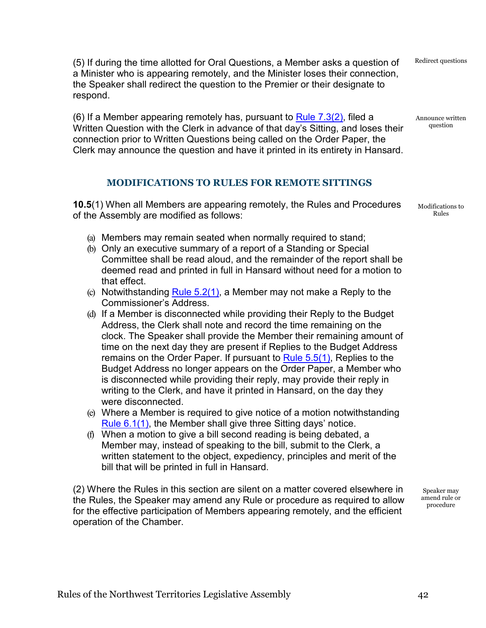(5) If during the time allotted for Oral Questions, a Member asks a question of a Minister who is appearing remotely, and the Minister loses their connection, the Speaker shall redirect the question to the Premier or their designate to respond.

(6) If a Member appearing remotely has, pursuant to  $Rule 7.3(2)$ , filed a Written Question with the Clerk in advance of that day's Sitting, and loses their connection prior to Written Questions being called on the Order Paper, the Clerk may announce the question and have it printed in its entirety in Hansard.

## **MODIFICATIONS TO RULES FOR REMOTE SITTINGS**

<span id="page-44-0"></span>**10.5**(1) When all Members are appearing remotely, the Rules and Procedures of the Assembly are modified as follows:

- (a) Members may remain seated when normally required to stand;
- (b) Only an executive summary of a report of a Standing or Special Committee shall be read aloud, and the remainder of the report shall be deemed read and printed in full in Hansard without need for a motion to that effect.
- (c) Notwithstanding Rule  $5.2(1)$ , a Member may not make a Reply to the Commissioner's Address.
- (d) If a Member is disconnected while providing their Reply to the Budget Address, the Clerk shall note and record the time remaining on the clock. The Speaker shall provide the Member their remaining amount of time on the next day they are present if Replies to the Budget Address remains on the Order Paper. If pursuant to [Rule 5.5\(1\),](#page-24-3) Replies to the Budget Address no longer appears on the Order Paper, a Member who is disconnected while providing their reply, may provide their reply in writing to the Clerk, and have it printed in Hansard, on the day they were disconnected.
- (e) Where a Member is required to give notice of a motion notwithstanding [Rule 6.1\(1\),](#page-26-3) the Member shall give three Sitting days' notice.
- (f) When a motion to give a bill second reading is being debated, a Member may, instead of speaking to the bill, submit to the Clerk, a written statement to the object, expediency, principles and merit of the bill that will be printed in full in Hansard.

(2) Where the Rules in this section are silent on a matter covered elsewhere in the Rules, the Speaker may amend any Rule or procedure as required to allow for the effective participation of Members appearing remotely, and the efficient operation of the Chamber.

Speaker may amend rule or procedure

Modifications to Rules

Redirect questions

Announce written question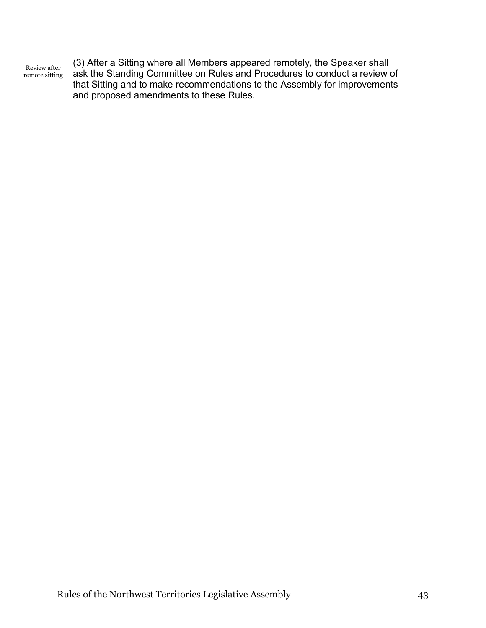Review after remote sitting (3) After a Sitting where all Members appeared remotely, the Speaker shall ask the Standing Committee on Rules and Procedures to conduct a review of that Sitting and to make recommendations to the Assembly for improvements and proposed amendments to these Rules.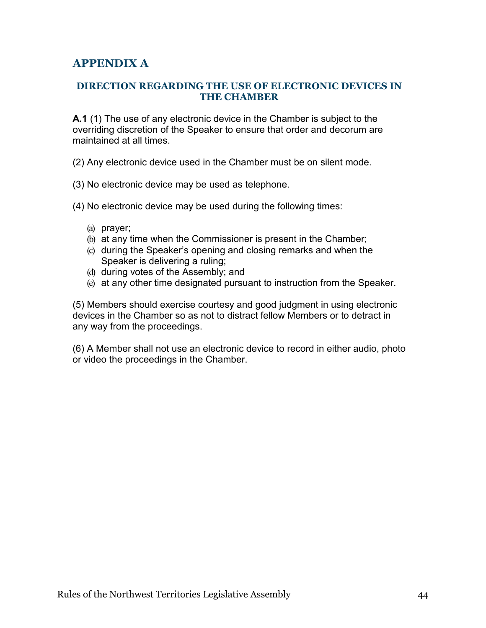## <span id="page-46-0"></span>**APPENDIX A**

#### <span id="page-46-1"></span>**DIRECTION REGARDING THE USE OF ELECTRONIC DEVICES IN THE CHAMBER**

<span id="page-46-2"></span>**A.1** (1) The use of any electronic device in the Chamber is subject to the overriding discretion of the Speaker to ensure that order and decorum are maintained at all times.

(2) Any electronic device used in the Chamber must be on silent mode.

- (3) No electronic device may be used as telephone.
- (4) No electronic device may be used during the following times:
	- (a) prayer;
	- (b) at any time when the Commissioner is present in the Chamber;
	- (c) during the Speaker's opening and closing remarks and when the Speaker is delivering a ruling;
	- (d) during votes of the Assembly; and
	- (e) at any other time designated pursuant to instruction from the Speaker.

(5) Members should exercise courtesy and good judgment in using electronic devices in the Chamber so as not to distract fellow Members or to detract in any way from the proceedings.

(6) A Member shall not use an electronic device to record in either audio, photo or video the proceedings in the Chamber.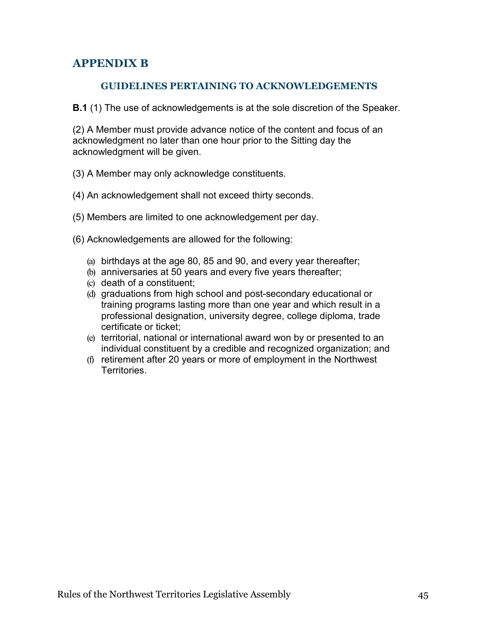## <span id="page-47-0"></span>**APPENDIX B**

## **GUIDELINES PERTAINING TO ACKNOWLEDGEMENTS**

<span id="page-47-2"></span><span id="page-47-1"></span>**B.1** (1) The use of acknowledgements is at the sole discretion of the Speaker.

(2) A Member must provide advance notice of the content and focus of an acknowledgment no later than one hour prior to the Sitting day the acknowledgment will be given.

- (3) A Member may only acknowledge constituents.
- (4) An acknowledgement shall not exceed thirty seconds.
- (5) Members are limited to one acknowledgement per day.
- (6) Acknowledgements are allowed for the following:
	- (a) birthdays at the age 80, 85 and 90, and every year thereafter;
	- (b) anniversaries at 50 years and every five years thereafter;
	- (c) death of a constituent;
	- (d) graduations from high school and post-secondary educational or training programs lasting more than one year and which result in a professional designation, university degree, college diploma, trade certificate or ticket;
	- (e) territorial, national or international award won by or presented to an individual constituent by a credible and recognized organization; and
	- (f) retirement after 20 years or more of employment in the Northwest **Territories**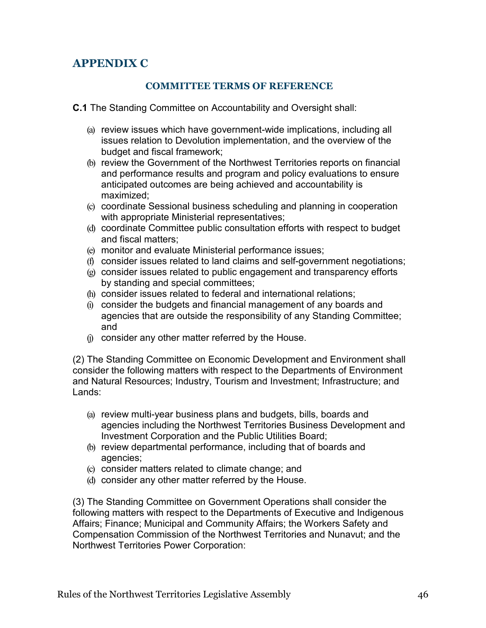## <span id="page-48-0"></span>**APPENDIX C**

## **COMMITTEE TERMS OF REFERENCE**

<span id="page-48-2"></span><span id="page-48-1"></span>**C.1** The Standing Committee on Accountability and Oversight shall:

- (a) review issues which have government-wide implications, including all issues relation to Devolution implementation, and the overview of the budget and fiscal framework;
- (b) review the Government of the Northwest Territories reports on financial and performance results and program and policy evaluations to ensure anticipated outcomes are being achieved and accountability is maximized;
- (c) coordinate Sessional business scheduling and planning in cooperation with appropriate Ministerial representatives;
- (d) coordinate Committee public consultation efforts with respect to budget and fiscal matters;
- (e) monitor and evaluate Ministerial performance issues;
- (f) consider issues related to land claims and self-government negotiations;
- (g) consider issues related to public engagement and transparency efforts by standing and special committees;
- (h) consider issues related to federal and international relations;
- (i) consider the budgets and financial management of any boards and agencies that are outside the responsibility of any Standing Committee; and
- (j) consider any other matter referred by the House.

(2) The Standing Committee on Economic Development and Environment shall consider the following matters with respect to the Departments of Environment and Natural Resources; Industry, Tourism and Investment; Infrastructure; and Lands:

- (a) review multi-year business plans and budgets, bills, boards and agencies including the Northwest Territories Business Development and Investment Corporation and the Public Utilities Board;
- (b) review departmental performance, including that of boards and agencies;
- (c) consider matters related to climate change; and
- (d) consider any other matter referred by the House.

(3) The Standing Committee on Government Operations shall consider the following matters with respect to the Departments of Executive and Indigenous Affairs; Finance; Municipal and Community Affairs; the Workers Safety and Compensation Commission of the Northwest Territories and Nunavut; and the Northwest Territories Power Corporation: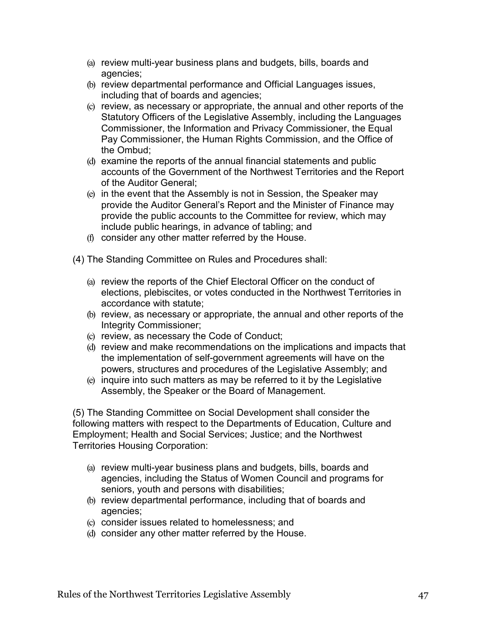- (a) review multi-year business plans and budgets, bills, boards and agencies;
- (b) review departmental performance and Official Languages issues, including that of boards and agencies;
- (c) review, as necessary or appropriate, the annual and other reports of the Statutory Officers of the Legislative Assembly, including the Languages Commissioner, the Information and Privacy Commissioner, the Equal Pay Commissioner, the Human Rights Commission, and the Office of the Ombud;
- (d) examine the reports of the annual financial statements and public accounts of the Government of the Northwest Territories and the Report of the Auditor General;
- (e) in the event that the Assembly is not in Session, the Speaker may provide the Auditor General's Report and the Minister of Finance may provide the public accounts to the Committee for review, which may include public hearings, in advance of tabling; and
- (f) consider any other matter referred by the House.

(4) The Standing Committee on Rules and Procedures shall:

- (a) review the reports of the Chief Electoral Officer on the conduct of elections, plebiscites, or votes conducted in the Northwest Territories in accordance with statute;
- (b) review, as necessary or appropriate, the annual and other reports of the Integrity Commissioner;
- (c) review, as necessary the Code of Conduct;
- (d) review and make recommendations on the implications and impacts that the implementation of self-government agreements will have on the powers, structures and procedures of the Legislative Assembly; and
- (e) inquire into such matters as may be referred to it by the Legislative Assembly, the Speaker or the Board of Management.

(5) The Standing Committee on Social Development shall consider the following matters with respect to the Departments of Education, Culture and Employment; Health and Social Services; Justice; and the Northwest Territories Housing Corporation:

- (a) review multi-year business plans and budgets, bills, boards and agencies, including the Status of Women Council and programs for seniors, youth and persons with disabilities;
- (b) review departmental performance, including that of boards and agencies;
- (c) consider issues related to homelessness; and
- (d) consider any other matter referred by the House.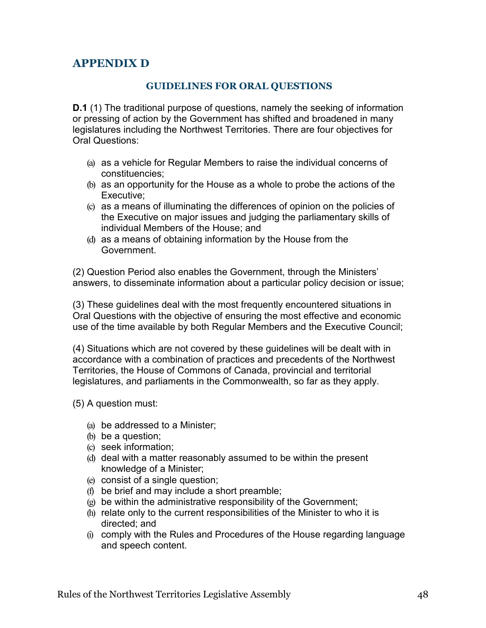## <span id="page-50-0"></span>**APPENDIX D**

## **GUIDELINES FOR ORAL QUESTIONS**

<span id="page-50-1"></span>**D.1** (1) The traditional purpose of questions, namely the seeking of information or pressing of action by the Government has shifted and broadened in many legislatures including the Northwest Territories. There are four objectives for Oral Questions:

- (a) as a vehicle for Regular Members to raise the individual concerns of constituencies;
- (b) as an opportunity for the House as a whole to probe the actions of the Executive;
- (c) as a means of illuminating the differences of opinion on the policies of the Executive on major issues and judging the parliamentary skills of individual Members of the House; and
- (d) as a means of obtaining information by the House from the Government.

(2) Question Period also enables the Government, through the Ministers' answers, to disseminate information about a particular policy decision or issue;

(3) These guidelines deal with the most frequently encountered situations in Oral Questions with the objective of ensuring the most effective and economic use of the time available by both Regular Members and the Executive Council;

(4) Situations which are not covered by these guidelines will be dealt with in accordance with a combination of practices and precedents of the Northwest Territories, the House of Commons of Canada, provincial and territorial legislatures, and parliaments in the Commonwealth, so far as they apply.

(5) A question must:

- (a) be addressed to a Minister;
- (b) be a question;
- (c) seek information;
- (d) deal with a matter reasonably assumed to be within the present knowledge of a Minister;
- (e) consist of a single question;
- (f) be brief and may include a short preamble;
- (g) be within the administrative responsibility of the Government;
- (h) relate only to the current responsibilities of the Minister to who it is directed; and
- (i) comply with the Rules and Procedures of the House regarding language and speech content.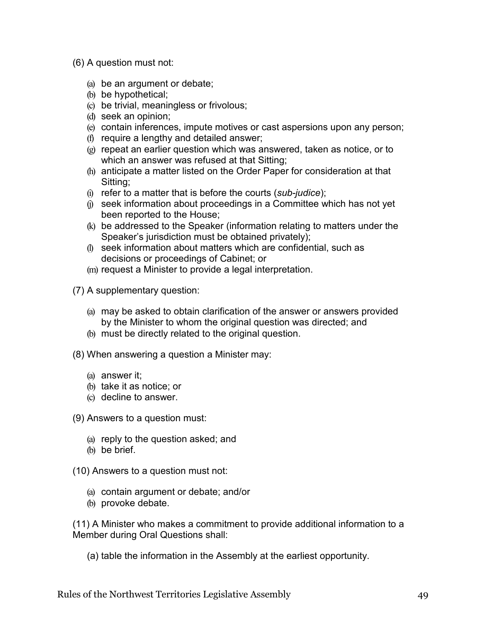- (6) A question must not:
	- (a) be an argument or debate;
	- (b) be hypothetical;
	- (c) be trivial, meaningless or frivolous;
	- (d) seek an opinion;
	- (e) contain inferences, impute motives or cast aspersions upon any person;
	- (f) require a lengthy and detailed answer;
	- (g) repeat an earlier question which was answered, taken as notice, or to which an answer was refused at that Sitting;
	- (h) anticipate a matter listed on the Order Paper for consideration at that Sitting;
	- (i) refer to a matter that is before the courts (*sub-judice*);
	- (j) seek information about proceedings in a Committee which has not yet been reported to the House;
	- (k) be addressed to the Speaker (information relating to matters under the Speaker's jurisdiction must be obtained privately);
	- (l) seek information about matters which are confidential, such as decisions or proceedings of Cabinet; or
	- (m) request a Minister to provide a legal interpretation.

(7) A supplementary question:

- (a) may be asked to obtain clarification of the answer or answers provided by the Minister to whom the original question was directed; and
- (b) must be directly related to the original question.
- (8) When answering a question a Minister may:
	- (a) answer it;
	- (b) take it as notice; or
	- (c) decline to answer.

(9) Answers to a question must:

- (a) reply to the question asked; and
- (b) be brief.

(10) Answers to a question must not:

- (a) contain argument or debate; and/or
- (b) provoke debate.

(11) A Minister who makes a commitment to provide additional information to a Member during Oral Questions shall:

(a) table the information in the Assembly at the earliest opportunity.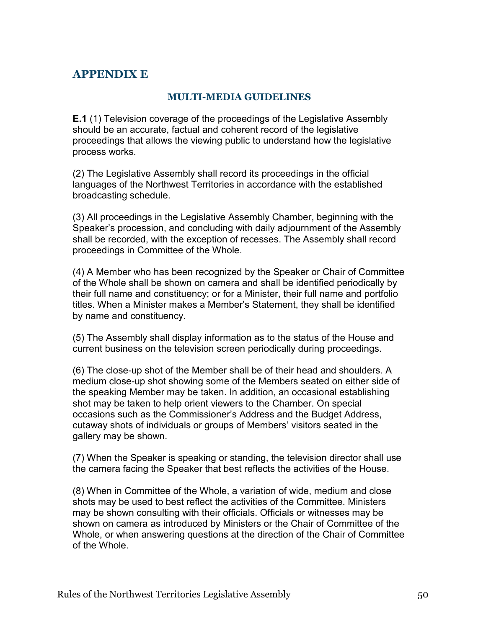## <span id="page-52-0"></span>**APPENDIX E**

## **MULTI-MEDIA GUIDELINES**

<span id="page-52-1"></span>**E.1** (1) Television coverage of the proceedings of the Legislative Assembly should be an accurate, factual and coherent record of the legislative proceedings that allows the viewing public to understand how the legislative process works.

(2) The Legislative Assembly shall record its proceedings in the official languages of the Northwest Territories in accordance with the established broadcasting schedule.

(3) All proceedings in the Legislative Assembly Chamber, beginning with the Speaker's procession, and concluding with daily adjournment of the Assembly shall be recorded, with the exception of recesses. The Assembly shall record proceedings in Committee of the Whole.

(4) A Member who has been recognized by the Speaker or Chair of Committee of the Whole shall be shown on camera and shall be identified periodically by their full name and constituency; or for a Minister, their full name and portfolio titles. When a Minister makes a Member's Statement, they shall be identified by name and constituency.

(5) The Assembly shall display information as to the status of the House and current business on the television screen periodically during proceedings.

(6) The close-up shot of the Member shall be of their head and shoulders. A medium close-up shot showing some of the Members seated on either side of the speaking Member may be taken. In addition, an occasional establishing shot may be taken to help orient viewers to the Chamber. On special occasions such as the Commissioner's Address and the Budget Address, cutaway shots of individuals or groups of Members' visitors seated in the gallery may be shown.

(7) When the Speaker is speaking or standing, the television director shall use the camera facing the Speaker that best reflects the activities of the House.

(8) When in Committee of the Whole, a variation of wide, medium and close shots may be used to best reflect the activities of the Committee. Ministers may be shown consulting with their officials. Officials or witnesses may be shown on camera as introduced by Ministers or the Chair of Committee of the Whole, or when answering questions at the direction of the Chair of Committee of the Whole.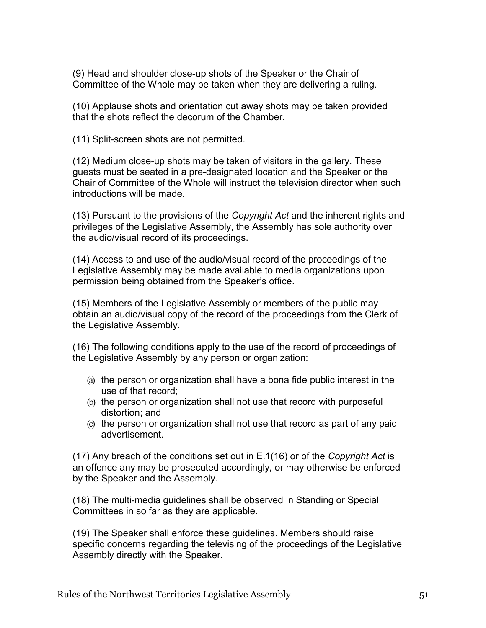(9) Head and shoulder close-up shots of the Speaker or the Chair of Committee of the Whole may be taken when they are delivering a ruling.

(10) Applause shots and orientation cut away shots may be taken provided that the shots reflect the decorum of the Chamber.

(11) Split-screen shots are not permitted.

(12) Medium close-up shots may be taken of visitors in the gallery. These guests must be seated in a pre-designated location and the Speaker or the Chair of Committee of the Whole will instruct the television director when such introductions will be made.

(13) Pursuant to the provisions of the *Copyright Act* and the inherent rights and privileges of the Legislative Assembly, the Assembly has sole authority over the audio/visual record of its proceedings.

(14) Access to and use of the audio/visual record of the proceedings of the Legislative Assembly may be made available to media organizations upon permission being obtained from the Speaker's office.

(15) Members of the Legislative Assembly or members of the public may obtain an audio/visual copy of the record of the proceedings from the Clerk of the Legislative Assembly.

(16) The following conditions apply to the use of the record of proceedings of the Legislative Assembly by any person or organization:

- (a) the person or organization shall have a bona fide public interest in the use of that record;
- (b) the person or organization shall not use that record with purposeful distortion; and
- (c) the person or organization shall not use that record as part of any paid advertisement.

(17) Any breach of the conditions set out in E.1(16) or of the *Copyright Act* is an offence any may be prosecuted accordingly, or may otherwise be enforced by the Speaker and the Assembly.

(18) The multi-media guidelines shall be observed in Standing or Special Committees in so far as they are applicable.

(19) The Speaker shall enforce these guidelines. Members should raise specific concerns regarding the televising of the proceedings of the Legislative Assembly directly with the Speaker.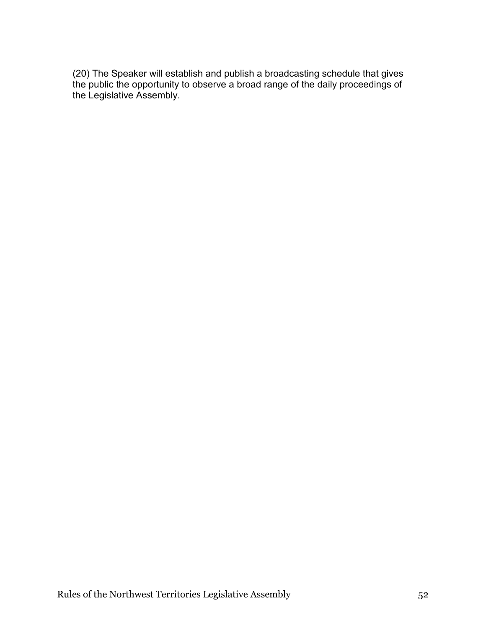(20) The Speaker will establish and publish a broadcasting schedule that gives the public the opportunity to observe a broad range of the daily proceedings of the Legislative Assembly.